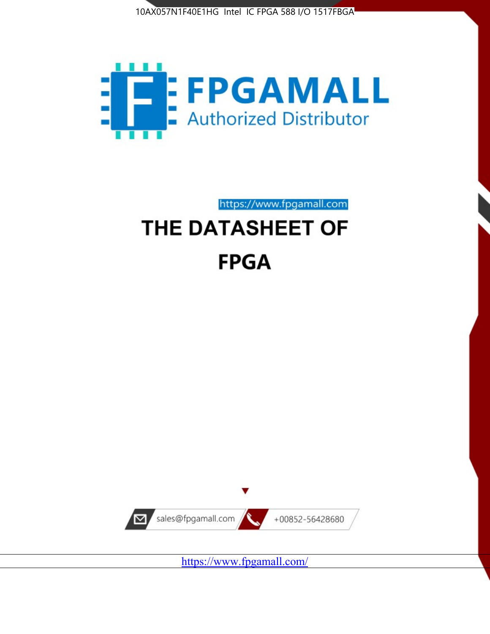



https://www.fpgamall.com THE DATASHEET OF

# **FPGA**



<https://www.fpgamall.com/>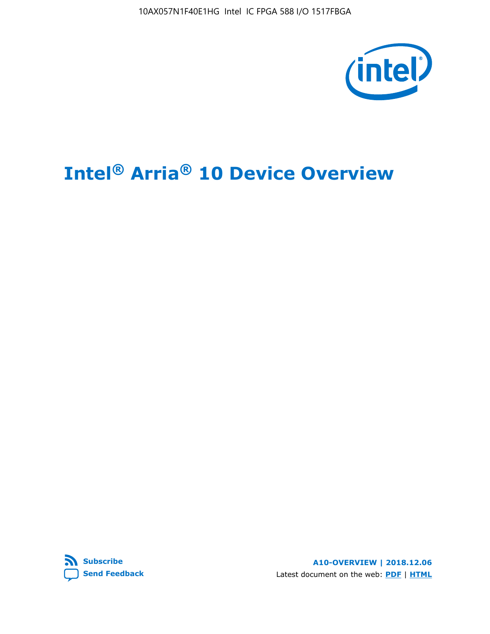10AX057N1F40E1HG Intel IC FPGA 588 I/O 1517FBGA



# **Intel® Arria® 10 Device Overview**



**A10-OVERVIEW | 2018.12.06** Latest document on the web: **[PDF](https://www.intel.com/content/dam/www/programmable/us/en/pdfs/literature/hb/arria-10/a10_overview.pdf)** | **[HTML](https://www.intel.com/content/www/us/en/programmable/documentation/sam1403480274650.html)**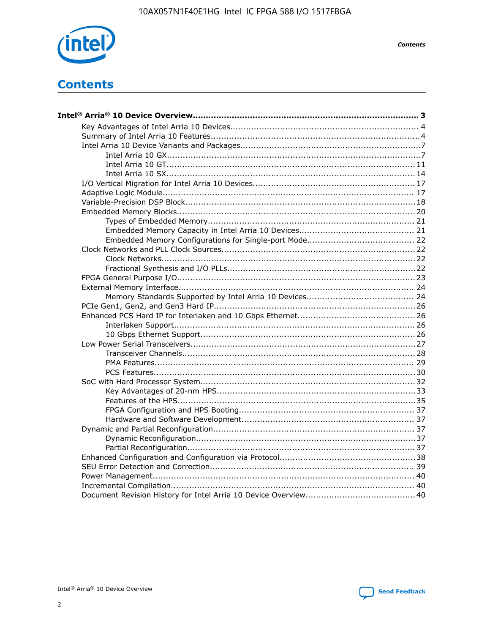

**Contents** 

# **Contents**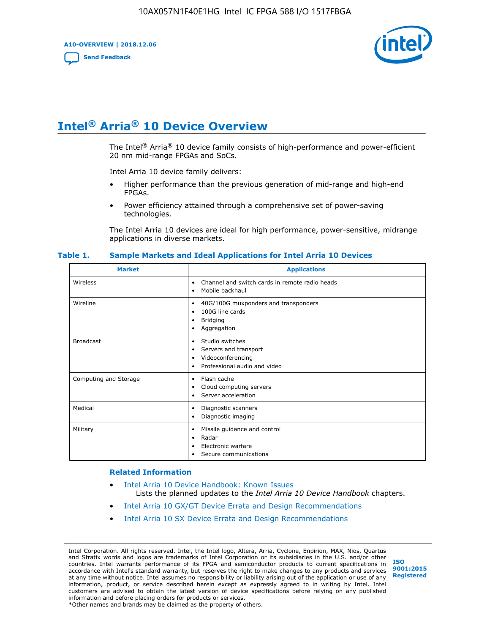**A10-OVERVIEW | 2018.12.06**

**[Send Feedback](mailto:FPGAtechdocfeedback@intel.com?subject=Feedback%20on%20Intel%20Arria%2010%20Device%20Overview%20(A10-OVERVIEW%202018.12.06)&body=We%20appreciate%20your%20feedback.%20In%20your%20comments,%20also%20specify%20the%20page%20number%20or%20paragraph.%20Thank%20you.)**



# **Intel® Arria® 10 Device Overview**

The Intel<sup>®</sup> Arria<sup>®</sup> 10 device family consists of high-performance and power-efficient 20 nm mid-range FPGAs and SoCs.

Intel Arria 10 device family delivers:

- Higher performance than the previous generation of mid-range and high-end FPGAs.
- Power efficiency attained through a comprehensive set of power-saving technologies.

The Intel Arria 10 devices are ideal for high performance, power-sensitive, midrange applications in diverse markets.

| <b>Market</b>         | <b>Applications</b>                                                                                               |
|-----------------------|-------------------------------------------------------------------------------------------------------------------|
| Wireless              | Channel and switch cards in remote radio heads<br>٠<br>Mobile backhaul<br>٠                                       |
| Wireline              | 40G/100G muxponders and transponders<br>٠<br>100G line cards<br>٠<br><b>Bridging</b><br>٠<br>Aggregation<br>٠     |
| <b>Broadcast</b>      | Studio switches<br>٠<br>Servers and transport<br>٠<br>Videoconferencing<br>٠<br>Professional audio and video<br>٠ |
| Computing and Storage | Flash cache<br>٠<br>Cloud computing servers<br>٠<br>Server acceleration<br>٠                                      |
| Medical               | Diagnostic scanners<br>٠<br>Diagnostic imaging<br>٠                                                               |
| Military              | Missile guidance and control<br>٠<br>Radar<br>٠<br>Electronic warfare<br>٠<br>Secure communications<br>٠          |

#### **Table 1. Sample Markets and Ideal Applications for Intel Arria 10 Devices**

#### **Related Information**

- [Intel Arria 10 Device Handbook: Known Issues](http://www.altera.com/support/kdb/solutions/rd07302013_646.html) Lists the planned updates to the *Intel Arria 10 Device Handbook* chapters.
- [Intel Arria 10 GX/GT Device Errata and Design Recommendations](https://www.intel.com/content/www/us/en/programmable/documentation/agz1493851706374.html#yqz1494433888646)
- [Intel Arria 10 SX Device Errata and Design Recommendations](https://www.intel.com/content/www/us/en/programmable/documentation/cru1462832385668.html#cru1462832558642)

Intel Corporation. All rights reserved. Intel, the Intel logo, Altera, Arria, Cyclone, Enpirion, MAX, Nios, Quartus and Stratix words and logos are trademarks of Intel Corporation or its subsidiaries in the U.S. and/or other countries. Intel warrants performance of its FPGA and semiconductor products to current specifications in accordance with Intel's standard warranty, but reserves the right to make changes to any products and services at any time without notice. Intel assumes no responsibility or liability arising out of the application or use of any information, product, or service described herein except as expressly agreed to in writing by Intel. Intel customers are advised to obtain the latest version of device specifications before relying on any published information and before placing orders for products or services. \*Other names and brands may be claimed as the property of others.

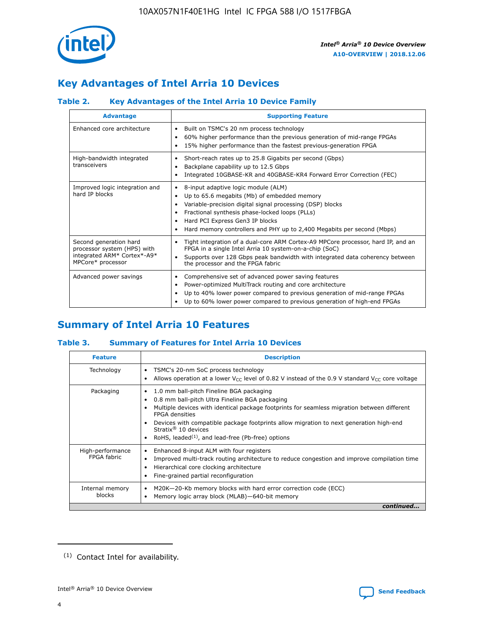

# **Key Advantages of Intel Arria 10 Devices**

# **Table 2. Key Advantages of the Intel Arria 10 Device Family**

| <b>Advantage</b>                                                                                          | <b>Supporting Feature</b>                                                                                                                                                                                                                                                                                                     |
|-----------------------------------------------------------------------------------------------------------|-------------------------------------------------------------------------------------------------------------------------------------------------------------------------------------------------------------------------------------------------------------------------------------------------------------------------------|
| Enhanced core architecture                                                                                | Built on TSMC's 20 nm process technology<br>$\bullet$<br>60% higher performance than the previous generation of mid-range FPGAs<br>٠<br>15% higher performance than the fastest previous-generation FPGA<br>٠                                                                                                                 |
| High-bandwidth integrated<br>transceivers                                                                 | Short-reach rates up to 25.8 Gigabits per second (Gbps)<br>٠<br>Backplane capability up to 12.5 Gbps<br>٠<br>Integrated 10GBASE-KR and 40GBASE-KR4 Forward Error Correction (FEC)<br>٠                                                                                                                                        |
| Improved logic integration and<br>hard IP blocks                                                          | 8-input adaptive logic module (ALM)<br>٠<br>Up to 65.6 megabits (Mb) of embedded memory<br>٠<br>Variable-precision digital signal processing (DSP) blocks<br>Fractional synthesis phase-locked loops (PLLs)<br>٠<br>Hard PCI Express Gen3 IP blocks<br>Hard memory controllers and PHY up to 2,400 Megabits per second (Mbps) |
| Second generation hard<br>processor system (HPS) with<br>integrated ARM* Cortex*-A9*<br>MPCore* processor | Tight integration of a dual-core ARM Cortex-A9 MPCore processor, hard IP, and an<br>٠<br>FPGA in a single Intel Arria 10 system-on-a-chip (SoC)<br>Supports over 128 Gbps peak bandwidth with integrated data coherency between<br>$\bullet$<br>the processor and the FPGA fabric                                             |
| Advanced power savings                                                                                    | Comprehensive set of advanced power saving features<br>٠<br>Power-optimized MultiTrack routing and core architecture<br>٠<br>Up to 40% lower power compared to previous generation of mid-range FPGAs<br>٠<br>Up to 60% lower power compared to previous generation of high-end FPGAs                                         |

# **Summary of Intel Arria 10 Features**

## **Table 3. Summary of Features for Intel Arria 10 Devices**

| <b>Feature</b>                  | <b>Description</b>                                                                                                                                                                                                                                                                                                                                                                                 |
|---------------------------------|----------------------------------------------------------------------------------------------------------------------------------------------------------------------------------------------------------------------------------------------------------------------------------------------------------------------------------------------------------------------------------------------------|
| Technology                      | TSMC's 20-nm SoC process technology<br>Allows operation at a lower $V_{\text{CC}}$ level of 0.82 V instead of the 0.9 V standard $V_{\text{CC}}$ core voltage                                                                                                                                                                                                                                      |
| Packaging                       | 1.0 mm ball-pitch Fineline BGA packaging<br>٠<br>0.8 mm ball-pitch Ultra Fineline BGA packaging<br>Multiple devices with identical package footprints for seamless migration between different<br><b>FPGA</b> densities<br>Devices with compatible package footprints allow migration to next generation high-end<br>Stratix $@10$ devices<br>RoHS, leaded $(1)$ , and lead-free (Pb-free) options |
| High-performance<br>FPGA fabric | Enhanced 8-input ALM with four registers<br>Improved multi-track routing architecture to reduce congestion and improve compilation time<br>Hierarchical core clocking architecture<br>Fine-grained partial reconfiguration                                                                                                                                                                         |
| Internal memory<br>blocks       | M20K-20-Kb memory blocks with hard error correction code (ECC)<br>Memory logic array block (MLAB)-640-bit memory                                                                                                                                                                                                                                                                                   |
|                                 | continued                                                                                                                                                                                                                                                                                                                                                                                          |



<sup>(1)</sup> Contact Intel for availability.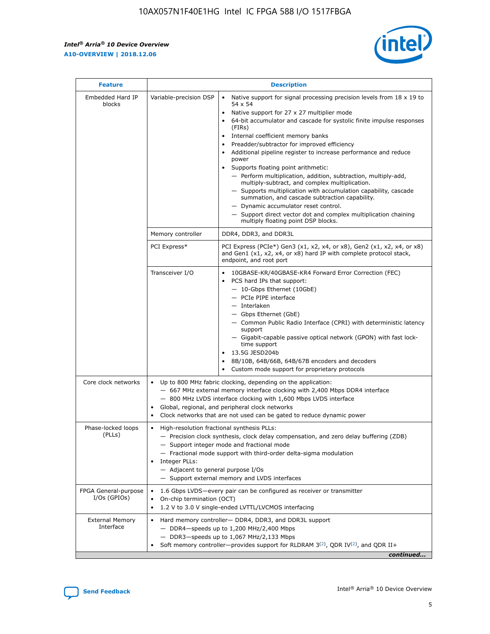$\mathsf{r}$ 



| <b>Feature</b>                         |                                                                                                                | <b>Description</b>                                                                                                                                                                                                                                                                                                                                                                                                                                                                                                                                                                                                                                                                                                                                                                                                                     |
|----------------------------------------|----------------------------------------------------------------------------------------------------------------|----------------------------------------------------------------------------------------------------------------------------------------------------------------------------------------------------------------------------------------------------------------------------------------------------------------------------------------------------------------------------------------------------------------------------------------------------------------------------------------------------------------------------------------------------------------------------------------------------------------------------------------------------------------------------------------------------------------------------------------------------------------------------------------------------------------------------------------|
| Embedded Hard IP<br>blocks             | Variable-precision DSP                                                                                         | Native support for signal processing precision levels from $18 \times 19$ to<br>54 x 54<br>Native support for 27 x 27 multiplier mode<br>64-bit accumulator and cascade for systolic finite impulse responses<br>(FIRs)<br>Internal coefficient memory banks<br>$\bullet$<br>Preadder/subtractor for improved efficiency<br>Additional pipeline register to increase performance and reduce<br>power<br>Supports floating point arithmetic:<br>- Perform multiplication, addition, subtraction, multiply-add,<br>multiply-subtract, and complex multiplication.<br>- Supports multiplication with accumulation capability, cascade<br>summation, and cascade subtraction capability.<br>- Dynamic accumulator reset control.<br>- Support direct vector dot and complex multiplication chaining<br>multiply floating point DSP blocks. |
|                                        | Memory controller                                                                                              | DDR4, DDR3, and DDR3L                                                                                                                                                                                                                                                                                                                                                                                                                                                                                                                                                                                                                                                                                                                                                                                                                  |
|                                        | PCI Express*                                                                                                   | PCI Express (PCIe*) Gen3 (x1, x2, x4, or x8), Gen2 (x1, x2, x4, or x8)<br>and Gen1 (x1, x2, x4, or x8) hard IP with complete protocol stack,<br>endpoint, and root port                                                                                                                                                                                                                                                                                                                                                                                                                                                                                                                                                                                                                                                                |
|                                        | Transceiver I/O                                                                                                | 10GBASE-KR/40GBASE-KR4 Forward Error Correction (FEC)<br>PCS hard IPs that support:<br>$\bullet$<br>- 10-Gbps Ethernet (10GbE)<br>- PCIe PIPE interface<br>$-$ Interlaken<br>- Gbps Ethernet (GbE)<br>- Common Public Radio Interface (CPRI) with deterministic latency<br>support<br>- Gigabit-capable passive optical network (GPON) with fast lock-<br>time support<br>13.5G JESD204b<br>$\bullet$<br>8B/10B, 64B/66B, 64B/67B encoders and decoders<br>Custom mode support for proprietary protocols                                                                                                                                                                                                                                                                                                                               |
| Core clock networks                    | $\bullet$<br>$\bullet$                                                                                         | Up to 800 MHz fabric clocking, depending on the application:<br>- 667 MHz external memory interface clocking with 2,400 Mbps DDR4 interface<br>- 800 MHz LVDS interface clocking with 1,600 Mbps LVDS interface<br>Global, regional, and peripheral clock networks<br>Clock networks that are not used can be gated to reduce dynamic power                                                                                                                                                                                                                                                                                                                                                                                                                                                                                            |
| Phase-locked loops<br>(PLLs)           | High-resolution fractional synthesis PLLs:<br>$\bullet$<br>Integer PLLs:<br>- Adjacent to general purpose I/Os | - Precision clock synthesis, clock delay compensation, and zero delay buffering (ZDB)<br>- Support integer mode and fractional mode<br>- Fractional mode support with third-order delta-sigma modulation<br>- Support external memory and LVDS interfaces                                                                                                                                                                                                                                                                                                                                                                                                                                                                                                                                                                              |
| FPGA General-purpose<br>$I/Os$ (GPIOs) | On-chip termination (OCT)                                                                                      | 1.6 Gbps LVDS-every pair can be configured as receiver or transmitter<br>1.2 V to 3.0 V single-ended LVTTL/LVCMOS interfacing                                                                                                                                                                                                                                                                                                                                                                                                                                                                                                                                                                                                                                                                                                          |
| <b>External Memory</b><br>Interface    |                                                                                                                | Hard memory controller- DDR4, DDR3, and DDR3L support<br>$-$ DDR4-speeds up to 1,200 MHz/2,400 Mbps<br>- DDR3-speeds up to 1,067 MHz/2,133 Mbps<br>Soft memory controller—provides support for RLDRAM $3^{(2)}$ , QDR IV $^{(2)}$ , and QDR II+<br>continued                                                                                                                                                                                                                                                                                                                                                                                                                                                                                                                                                                           |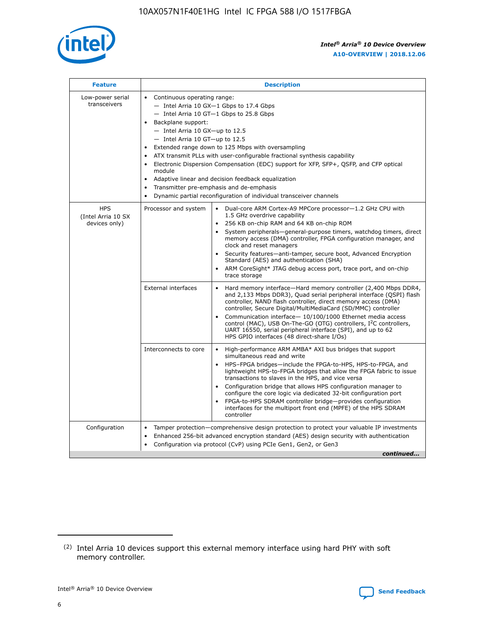

| <b>Feature</b>                                    | <b>Description</b>                                                                                                                                                                                                                                                                                                                                                                                                                                                                                                                                                                                                                                      |  |  |  |  |  |  |  |
|---------------------------------------------------|---------------------------------------------------------------------------------------------------------------------------------------------------------------------------------------------------------------------------------------------------------------------------------------------------------------------------------------------------------------------------------------------------------------------------------------------------------------------------------------------------------------------------------------------------------------------------------------------------------------------------------------------------------|--|--|--|--|--|--|--|
| Low-power serial<br>transceivers                  | • Continuous operating range:<br>- Intel Arria 10 GX-1 Gbps to 17.4 Gbps<br>- Intel Arria 10 GT-1 Gbps to 25.8 Gbps<br>Backplane support:<br>$-$ Intel Arria 10 GX-up to 12.5<br>$-$ Intel Arria 10 GT-up to 12.5<br>Extended range down to 125 Mbps with oversampling<br>ATX transmit PLLs with user-configurable fractional synthesis capability<br>Electronic Dispersion Compensation (EDC) support for XFP, SFP+, QSFP, and CFP optical<br>module<br>Adaptive linear and decision feedback equalization<br>$\bullet$<br>Transmitter pre-emphasis and de-emphasis<br>$\bullet$<br>Dynamic partial reconfiguration of individual transceiver channels |  |  |  |  |  |  |  |
| <b>HPS</b><br>(Intel Arria 10 SX<br>devices only) | • Dual-core ARM Cortex-A9 MPCore processor-1.2 GHz CPU with<br>Processor and system<br>1.5 GHz overdrive capability<br>256 KB on-chip RAM and 64 KB on-chip ROM<br>$\bullet$<br>System peripherals—general-purpose timers, watchdog timers, direct<br>memory access (DMA) controller, FPGA configuration manager, and<br>clock and reset managers<br>Security features—anti-tamper, secure boot, Advanced Encryption<br>$\bullet$<br>Standard (AES) and authentication (SHA)<br>ARM CoreSight* JTAG debug access port, trace port, and on-chip<br>$\bullet$<br>trace storage                                                                            |  |  |  |  |  |  |  |
|                                                   | <b>External interfaces</b><br>Hard memory interface-Hard memory controller (2,400 Mbps DDR4,<br>$\bullet$<br>and 2,133 Mbps DDR3), Quad serial peripheral interface (QSPI) flash<br>controller, NAND flash controller, direct memory access (DMA)<br>controller, Secure Digital/MultiMediaCard (SD/MMC) controller<br>Communication interface-10/100/1000 Ethernet media access<br>$\bullet$<br>control (MAC), USB On-The-GO (OTG) controllers, I <sup>2</sup> C controllers,<br>UART 16550, serial peripheral interface (SPI), and up to 62<br>HPS GPIO interfaces (48 direct-share I/Os)                                                              |  |  |  |  |  |  |  |
|                                                   | High-performance ARM AMBA* AXI bus bridges that support<br>Interconnects to core<br>$\bullet$<br>simultaneous read and write<br>HPS-FPGA bridges-include the FPGA-to-HPS, HPS-to-FPGA, and<br>$\bullet$<br>lightweight HPS-to-FPGA bridges that allow the FPGA fabric to issue<br>transactions to slaves in the HPS, and vice versa<br>Configuration bridge that allows HPS configuration manager to<br>configure the core logic via dedicated 32-bit configuration port<br>FPGA-to-HPS SDRAM controller bridge-provides configuration<br>interfaces for the multiport front end (MPFE) of the HPS SDRAM<br>controller                                  |  |  |  |  |  |  |  |
| Configuration                                     | Tamper protection—comprehensive design protection to protect your valuable IP investments<br>Enhanced 256-bit advanced encryption standard (AES) design security with authentication<br>٠<br>Configuration via protocol (CvP) using PCIe Gen1, Gen2, or Gen3<br>continued                                                                                                                                                                                                                                                                                                                                                                               |  |  |  |  |  |  |  |

<sup>(2)</sup> Intel Arria 10 devices support this external memory interface using hard PHY with soft memory controller.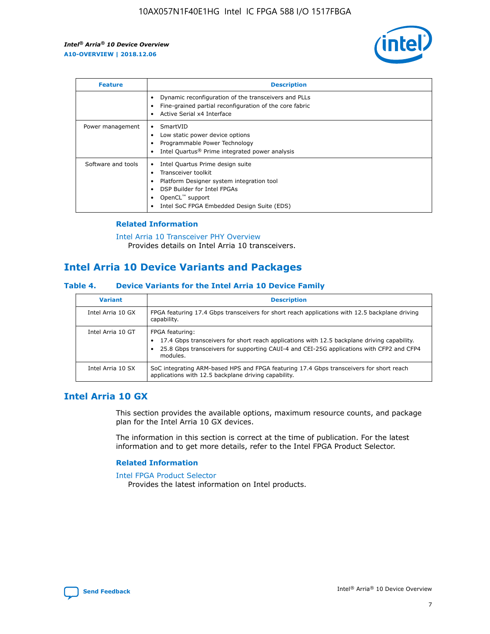

| <b>Feature</b>     | <b>Description</b>                                                                                                                                                                                               |
|--------------------|------------------------------------------------------------------------------------------------------------------------------------------------------------------------------------------------------------------|
|                    | Dynamic reconfiguration of the transceivers and PLLs<br>Fine-grained partial reconfiguration of the core fabric<br>Active Serial x4 Interface<br>$\bullet$                                                       |
| Power management   | SmartVID<br>Low static power device options<br>Programmable Power Technology<br>Intel Quartus <sup>®</sup> Prime integrated power analysis                                                                       |
| Software and tools | Intel Quartus Prime design suite<br>Transceiver toolkit<br>Platform Designer system integration tool<br>DSP Builder for Intel FPGAs<br>OpenCL <sup>™</sup> support<br>Intel SoC FPGA Embedded Design Suite (EDS) |

## **Related Information**

[Intel Arria 10 Transceiver PHY Overview](https://www.intel.com/content/www/us/en/programmable/documentation/nik1398707230472.html#nik1398706768037) Provides details on Intel Arria 10 transceivers.

# **Intel Arria 10 Device Variants and Packages**

#### **Table 4. Device Variants for the Intel Arria 10 Device Family**

| <b>Variant</b>    | <b>Description</b>                                                                                                                                                                                                     |
|-------------------|------------------------------------------------------------------------------------------------------------------------------------------------------------------------------------------------------------------------|
| Intel Arria 10 GX | FPGA featuring 17.4 Gbps transceivers for short reach applications with 12.5 backplane driving<br>capability.                                                                                                          |
| Intel Arria 10 GT | FPGA featuring:<br>17.4 Gbps transceivers for short reach applications with 12.5 backplane driving capability.<br>25.8 Gbps transceivers for supporting CAUI-4 and CEI-25G applications with CFP2 and CFP4<br>modules. |
| Intel Arria 10 SX | SoC integrating ARM-based HPS and FPGA featuring 17.4 Gbps transceivers for short reach<br>applications with 12.5 backplane driving capability.                                                                        |

# **Intel Arria 10 GX**

This section provides the available options, maximum resource counts, and package plan for the Intel Arria 10 GX devices.

The information in this section is correct at the time of publication. For the latest information and to get more details, refer to the Intel FPGA Product Selector.

#### **Related Information**

#### [Intel FPGA Product Selector](http://www.altera.com/products/selector/psg-selector.html) Provides the latest information on Intel products.

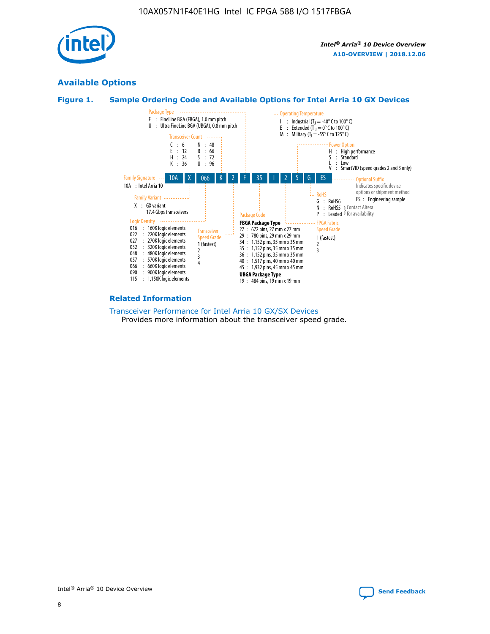

# **Available Options**





#### **Related Information**

[Transceiver Performance for Intel Arria 10 GX/SX Devices](https://www.intel.com/content/www/us/en/programmable/documentation/mcn1413182292568.html#mcn1413213965502) Provides more information about the transceiver speed grade.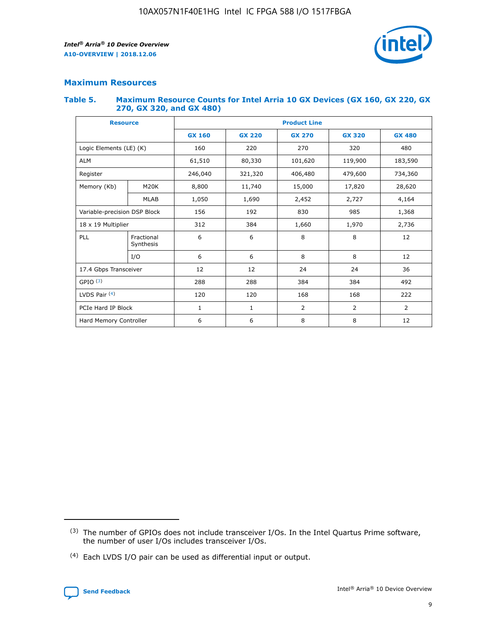

## **Maximum Resources**

#### **Table 5. Maximum Resource Counts for Intel Arria 10 GX Devices (GX 160, GX 220, GX 270, GX 320, and GX 480)**

| <b>Resource</b>              |                         | <b>Product Line</b> |                                                 |                |                |                |  |  |  |
|------------------------------|-------------------------|---------------------|-------------------------------------------------|----------------|----------------|----------------|--|--|--|
|                              |                         | <b>GX 160</b>       | <b>GX 220</b><br><b>GX 270</b><br><b>GX 320</b> |                |                | <b>GX 480</b>  |  |  |  |
| Logic Elements (LE) (K)      |                         | 160                 | 220                                             | 270            | 320            | 480            |  |  |  |
| <b>ALM</b>                   |                         | 61,510              | 80,330                                          | 101,620        | 119,900        | 183,590        |  |  |  |
| Register                     |                         | 246,040             | 406,480<br>321,320                              |                | 479,600        | 734,360        |  |  |  |
| Memory (Kb)                  | M <sub>20</sub> K       | 8,800               | 11,740                                          | 15,000         | 17,820         | 28,620         |  |  |  |
|                              | <b>MLAB</b>             | 1,050               | 1,690                                           | 2,452          | 2,727          | 4,164          |  |  |  |
| Variable-precision DSP Block |                         | 156                 | 192                                             | 830            | 985            |                |  |  |  |
| 18 x 19 Multiplier           |                         | 312                 | 384                                             | 1,970<br>1,660 |                | 2,736          |  |  |  |
| PLL                          | Fractional<br>Synthesis | 6                   | 6                                               | 8              | 8              | 12             |  |  |  |
|                              | I/O                     | 6                   | 6                                               | 8              | 8              | 12             |  |  |  |
| 17.4 Gbps Transceiver        |                         | 12                  | 12                                              | 24             | 24             | 36             |  |  |  |
| GPIO <sup>(3)</sup>          |                         | 288                 | 288                                             | 384            | 384            |                |  |  |  |
| LVDS Pair $(4)$              |                         | 120                 | 120                                             | 168            | 168            | 222            |  |  |  |
| PCIe Hard IP Block           |                         | 1                   | 1                                               | 2              | $\overline{2}$ | $\overline{2}$ |  |  |  |
| Hard Memory Controller       |                         | 6                   | 6                                               | 8              | 8              |                |  |  |  |

<sup>(4)</sup> Each LVDS I/O pair can be used as differential input or output.



<sup>(3)</sup> The number of GPIOs does not include transceiver I/Os. In the Intel Quartus Prime software, the number of user I/Os includes transceiver I/Os.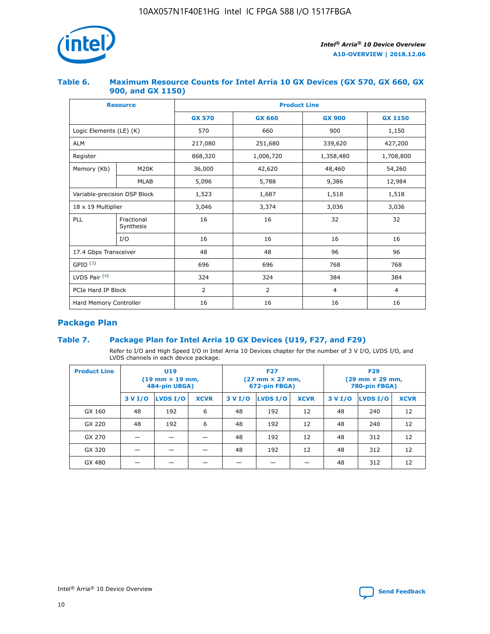

## **Table 6. Maximum Resource Counts for Intel Arria 10 GX Devices (GX 570, GX 660, GX 900, and GX 1150)**

|                              | <b>Resource</b>         | <b>Product Line</b> |                |                |                |  |  |  |  |
|------------------------------|-------------------------|---------------------|----------------|----------------|----------------|--|--|--|--|
|                              |                         | <b>GX 570</b>       | <b>GX 660</b>  | <b>GX 900</b>  | <b>GX 1150</b> |  |  |  |  |
| Logic Elements (LE) (K)      |                         | 570                 | 660            | 900            | 1,150          |  |  |  |  |
| <b>ALM</b>                   |                         | 217,080             | 251,680        | 339,620        | 427,200        |  |  |  |  |
| Register                     |                         | 868,320             | 1,006,720      |                | 1,708,800      |  |  |  |  |
| Memory (Kb)                  | <b>M20K</b>             | 36,000              | 42,620         | 48,460         | 54,260         |  |  |  |  |
|                              | <b>MLAB</b>             | 5,096               | 5,788<br>9,386 |                | 12,984         |  |  |  |  |
| Variable-precision DSP Block |                         | 1,523               | 1,687          | 1,518          | 1,518          |  |  |  |  |
| $18 \times 19$ Multiplier    |                         | 3,046               | 3,374          | 3,036          | 3,036          |  |  |  |  |
| PLL                          | Fractional<br>Synthesis | 16                  | 16             | 32             | 32             |  |  |  |  |
|                              | I/O                     | 16                  | 16             | 16             | 16             |  |  |  |  |
| 17.4 Gbps Transceiver        |                         | 48                  | 96<br>48       |                | 96             |  |  |  |  |
| GPIO <sup>(3)</sup>          |                         | 696                 | 696            | 768            | 768            |  |  |  |  |
| LVDS Pair $(4)$              |                         | 324                 | 324            | 384            | 384            |  |  |  |  |
| PCIe Hard IP Block           |                         | $\overline{2}$      | $\overline{2}$ | $\overline{4}$ | $\overline{4}$ |  |  |  |  |
| Hard Memory Controller       |                         | 16                  | 16             | 16             | 16             |  |  |  |  |

# **Package Plan**

# **Table 7. Package Plan for Intel Arria 10 GX Devices (U19, F27, and F29)**

Refer to I/O and High Speed I/O in Intel Arria 10 Devices chapter for the number of 3 V I/O, LVDS I/O, and LVDS channels in each device package.

| <b>Product Line</b> | U <sub>19</sub><br>$(19 \text{ mm} \times 19 \text{ mm})$<br>484-pin UBGA) |          |             |         | <b>F27</b><br>(27 mm × 27 mm,<br>672-pin FBGA) |             | <b>F29</b><br>(29 mm × 29 mm,<br>780-pin FBGA) |          |             |  |
|---------------------|----------------------------------------------------------------------------|----------|-------------|---------|------------------------------------------------|-------------|------------------------------------------------|----------|-------------|--|
|                     | 3 V I/O                                                                    | LVDS I/O | <b>XCVR</b> | 3 V I/O | LVDS I/O                                       | <b>XCVR</b> | 3 V I/O                                        | LVDS I/O | <b>XCVR</b> |  |
| GX 160              | 48                                                                         | 192      | 6           | 48      | 192                                            | 12          | 48                                             | 240      | 12          |  |
| GX 220              | 48                                                                         | 192      | 6           | 48      | 192                                            | 12          | 48                                             | 240      | 12          |  |
| GX 270              |                                                                            |          |             | 48      | 192                                            | 12          | 48                                             | 312      | 12          |  |
| GX 320              |                                                                            |          |             | 48      | 192                                            | 12          | 48                                             | 312      | 12          |  |
| GX 480              |                                                                            |          |             |         |                                                |             | 48                                             | 312      | 12          |  |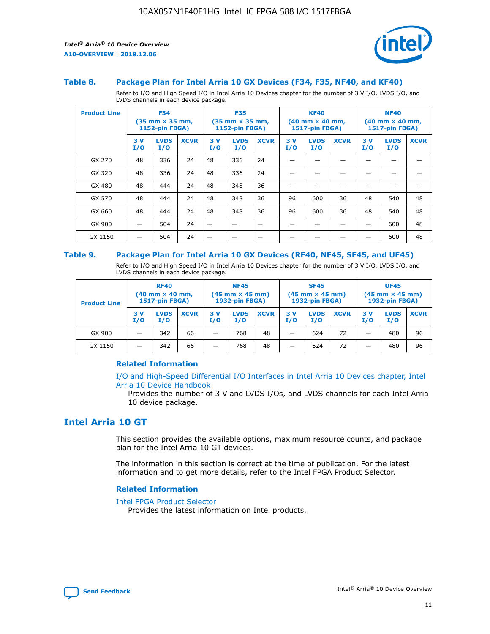



#### **Table 8. Package Plan for Intel Arria 10 GX Devices (F34, F35, NF40, and KF40)**

Refer to I/O and High Speed I/O in Intel Arria 10 Devices chapter for the number of 3 V I/O, LVDS I/O, and LVDS channels in each device package.

| <b>Product Line</b> | <b>F34</b><br>$(35 \text{ mm} \times 35 \text{ mm})$<br>1152-pin FBGA) |                    | <b>F35</b><br>$(35$ mm $\times$ 35 mm,<br><b>1152-pin FBGA)</b> |           | <b>KF40</b><br>$(40$ mm $\times$ 40 mm,<br>1517-pin FBGA) |             |           | <b>NF40</b><br>$(40$ mm $\times$ 40 mm,<br><b>1517-pin FBGA)</b> |             |            |                    |             |
|---------------------|------------------------------------------------------------------------|--------------------|-----------------------------------------------------------------|-----------|-----------------------------------------------------------|-------------|-----------|------------------------------------------------------------------|-------------|------------|--------------------|-------------|
|                     | 3V<br>I/O                                                              | <b>LVDS</b><br>I/O | <b>XCVR</b>                                                     | 3V<br>I/O | <b>LVDS</b><br>I/O                                        | <b>XCVR</b> | 3V<br>I/O | <b>LVDS</b><br>I/O                                               | <b>XCVR</b> | 3 V<br>I/O | <b>LVDS</b><br>I/O | <b>XCVR</b> |
| GX 270              | 48                                                                     | 336                | 24                                                              | 48        | 336                                                       | 24          |           |                                                                  |             |            |                    |             |
| GX 320              | 48                                                                     | 336                | 24                                                              | 48        | 336                                                       | 24          |           |                                                                  |             |            |                    |             |
| GX 480              | 48                                                                     | 444                | 24                                                              | 48        | 348                                                       | 36          |           |                                                                  |             |            |                    |             |
| GX 570              | 48                                                                     | 444                | 24                                                              | 48        | 348                                                       | 36          | 96        | 600                                                              | 36          | 48         | 540                | 48          |
| GX 660              | 48                                                                     | 444                | 24                                                              | 48        | 348                                                       | 36          | 96        | 600                                                              | 36          | 48         | 540                | 48          |
| GX 900              |                                                                        | 504                | 24                                                              | –         |                                                           | -           |           |                                                                  |             |            | 600                | 48          |
| GX 1150             |                                                                        | 504                | 24                                                              |           |                                                           |             |           |                                                                  |             |            | 600                | 48          |

#### **Table 9. Package Plan for Intel Arria 10 GX Devices (RF40, NF45, SF45, and UF45)**

Refer to I/O and High Speed I/O in Intel Arria 10 Devices chapter for the number of 3 V I/O, LVDS I/O, and LVDS channels in each device package.

| <b>Product Line</b> | <b>RF40</b><br>$(40$ mm $\times$ 40 mm,<br>1517-pin FBGA) |                    |             | <b>NF45</b><br>$(45 \text{ mm} \times 45 \text{ mm})$<br><b>1932-pin FBGA)</b> |                    |             | <b>SF45</b><br>$(45 \text{ mm} \times 45 \text{ mm})$<br><b>1932-pin FBGA)</b> |                    |             | <b>UF45</b><br>$(45 \text{ mm} \times 45 \text{ mm})$<br><b>1932-pin FBGA)</b> |                    |             |
|---------------------|-----------------------------------------------------------|--------------------|-------------|--------------------------------------------------------------------------------|--------------------|-------------|--------------------------------------------------------------------------------|--------------------|-------------|--------------------------------------------------------------------------------|--------------------|-------------|
|                     | 3V<br>I/O                                                 | <b>LVDS</b><br>I/O | <b>XCVR</b> | 3 V<br>I/O                                                                     | <b>LVDS</b><br>I/O | <b>XCVR</b> | 3 V<br>I/O                                                                     | <b>LVDS</b><br>I/O | <b>XCVR</b> | 3V<br>I/O                                                                      | <b>LVDS</b><br>I/O | <b>XCVR</b> |
| GX 900              |                                                           | 342                | 66          | _                                                                              | 768                | 48          |                                                                                | 624                | 72          |                                                                                | 480                | 96          |
| GX 1150             |                                                           | 342                | 66          | _                                                                              | 768                | 48          |                                                                                | 624                | 72          |                                                                                | 480                | 96          |

## **Related Information**

[I/O and High-Speed Differential I/O Interfaces in Intel Arria 10 Devices chapter, Intel](https://www.intel.com/content/www/us/en/programmable/documentation/sam1403482614086.html#sam1403482030321) [Arria 10 Device Handbook](https://www.intel.com/content/www/us/en/programmable/documentation/sam1403482614086.html#sam1403482030321)

Provides the number of 3 V and LVDS I/Os, and LVDS channels for each Intel Arria 10 device package.

# **Intel Arria 10 GT**

This section provides the available options, maximum resource counts, and package plan for the Intel Arria 10 GT devices.

The information in this section is correct at the time of publication. For the latest information and to get more details, refer to the Intel FPGA Product Selector.

#### **Related Information**

#### [Intel FPGA Product Selector](http://www.altera.com/products/selector/psg-selector.html)

Provides the latest information on Intel products.

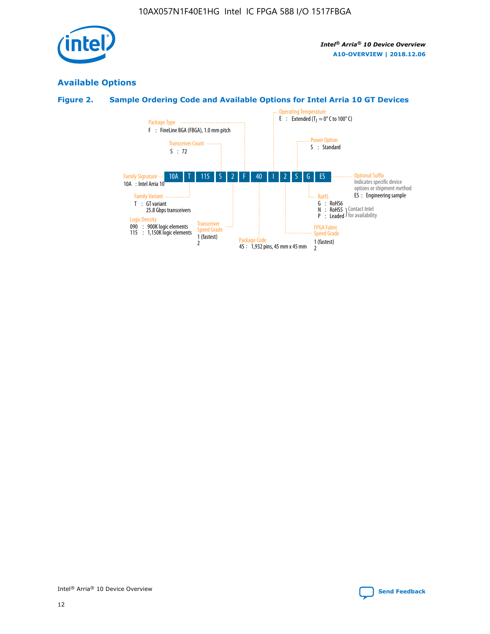

# **Available Options**

# **Figure 2. Sample Ordering Code and Available Options for Intel Arria 10 GT Devices**

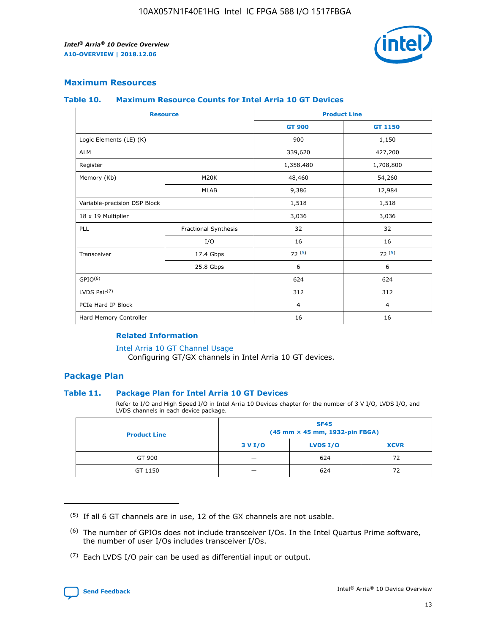

## **Maximum Resources**

#### **Table 10. Maximum Resource Counts for Intel Arria 10 GT Devices**

|                              | <b>Resource</b>      | <b>Product Line</b> |                |  |
|------------------------------|----------------------|---------------------|----------------|--|
|                              |                      | <b>GT 900</b>       | GT 1150        |  |
| Logic Elements (LE) (K)      |                      | 900                 | 1,150          |  |
| <b>ALM</b>                   |                      | 339,620             | 427,200        |  |
| Register                     |                      | 1,358,480           | 1,708,800      |  |
| Memory (Kb)                  | M20K                 | 48,460              | 54,260         |  |
| <b>MLAB</b>                  |                      | 9,386               | 12,984         |  |
| Variable-precision DSP Block |                      | 1,518               | 1,518          |  |
| 18 x 19 Multiplier           |                      | 3,036               | 3,036          |  |
| <b>PLL</b>                   | Fractional Synthesis | 32                  | 32             |  |
|                              | I/O                  | 16                  | 16             |  |
| Transceiver                  | 17.4 Gbps            | 72(5)               | 72(5)          |  |
|                              | 25.8 Gbps            | 6                   | 6              |  |
| GPIO <sup>(6)</sup>          |                      | 624                 | 624            |  |
| LVDS Pair $(7)$              |                      | 312                 | 312            |  |
| PCIe Hard IP Block           |                      | $\overline{4}$      | $\overline{4}$ |  |
| Hard Memory Controller       |                      | 16                  | 16             |  |

## **Related Information**

#### [Intel Arria 10 GT Channel Usage](https://www.intel.com/content/www/us/en/programmable/documentation/nik1398707230472.html#nik1398707008178)

Configuring GT/GX channels in Intel Arria 10 GT devices.

## **Package Plan**

## **Table 11. Package Plan for Intel Arria 10 GT Devices**

Refer to I/O and High Speed I/O in Intel Arria 10 Devices chapter for the number of 3 V I/O, LVDS I/O, and LVDS channels in each device package.

| <b>Product Line</b> | <b>SF45</b><br>(45 mm × 45 mm, 1932-pin FBGA) |                 |             |  |  |  |  |
|---------------------|-----------------------------------------------|-----------------|-------------|--|--|--|--|
|                     | 3 V I/O                                       | <b>LVDS I/O</b> | <b>XCVR</b> |  |  |  |  |
| GT 900              |                                               | 624             | 72          |  |  |  |  |
| GT 1150             |                                               | 624             |             |  |  |  |  |

<sup>(7)</sup> Each LVDS I/O pair can be used as differential input or output.



 $(5)$  If all 6 GT channels are in use, 12 of the GX channels are not usable.

<sup>(6)</sup> The number of GPIOs does not include transceiver I/Os. In the Intel Quartus Prime software, the number of user I/Os includes transceiver I/Os.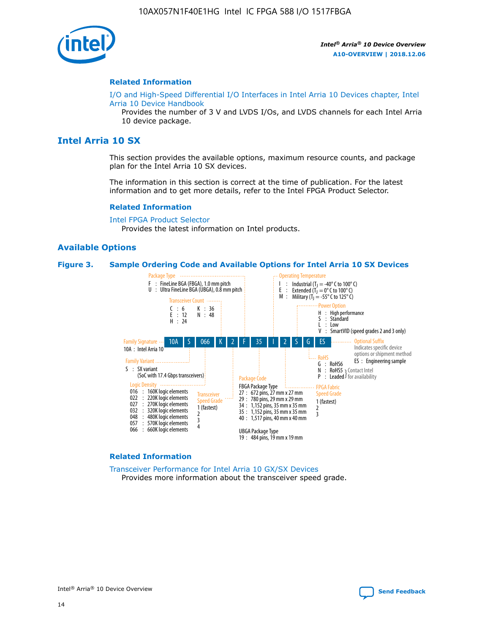

#### **Related Information**

[I/O and High-Speed Differential I/O Interfaces in Intel Arria 10 Devices chapter, Intel](https://www.intel.com/content/www/us/en/programmable/documentation/sam1403482614086.html#sam1403482030321) [Arria 10 Device Handbook](https://www.intel.com/content/www/us/en/programmable/documentation/sam1403482614086.html#sam1403482030321)

Provides the number of 3 V and LVDS I/Os, and LVDS channels for each Intel Arria 10 device package.

# **Intel Arria 10 SX**

This section provides the available options, maximum resource counts, and package plan for the Intel Arria 10 SX devices.

The information in this section is correct at the time of publication. For the latest information and to get more details, refer to the Intel FPGA Product Selector.

#### **Related Information**

[Intel FPGA Product Selector](http://www.altera.com/products/selector/psg-selector.html) Provides the latest information on Intel products.

#### **Available Options**

#### **Figure 3. Sample Ordering Code and Available Options for Intel Arria 10 SX Devices**



#### **Related Information**

[Transceiver Performance for Intel Arria 10 GX/SX Devices](https://www.intel.com/content/www/us/en/programmable/documentation/mcn1413182292568.html#mcn1413213965502) Provides more information about the transceiver speed grade.

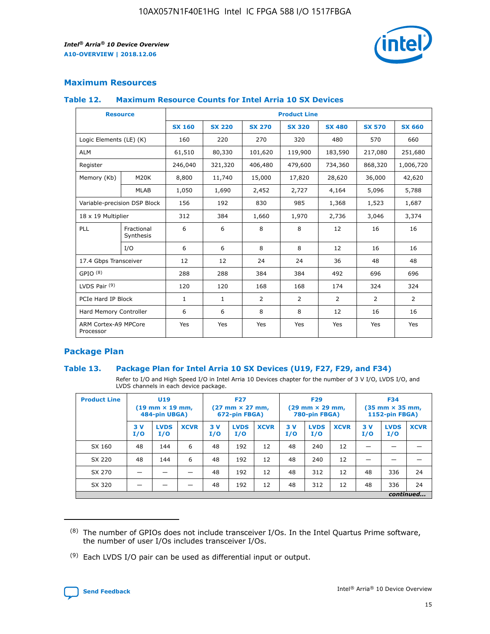

# **Maximum Resources**

#### **Table 12. Maximum Resource Counts for Intel Arria 10 SX Devices**

| <b>Resource</b>                   |                         | <b>Product Line</b> |               |                |                |               |                |               |  |  |  |
|-----------------------------------|-------------------------|---------------------|---------------|----------------|----------------|---------------|----------------|---------------|--|--|--|
|                                   |                         | <b>SX 160</b>       | <b>SX 220</b> | <b>SX 270</b>  | <b>SX 320</b>  | <b>SX 480</b> | <b>SX 570</b>  | <b>SX 660</b> |  |  |  |
| Logic Elements (LE) (K)           |                         | 160                 | 220           | 270            | 320            | 480           | 570            | 660           |  |  |  |
| <b>ALM</b>                        |                         | 61,510              | 80,330        | 101,620        | 119,900        | 183,590       | 217,080        | 251,680       |  |  |  |
| Register                          |                         | 246,040             | 321,320       | 406,480        | 479,600        | 734,360       | 868,320        | 1,006,720     |  |  |  |
| Memory (Kb)                       | M <sub>20</sub> K       | 8,800               | 11,740        | 15,000         | 17,820         | 28,620        | 36,000         | 42,620        |  |  |  |
|                                   | <b>MLAB</b>             | 1,050               | 1,690         | 2,452          | 2,727          | 4,164         | 5,096          | 5,788         |  |  |  |
| Variable-precision DSP Block      |                         | 156                 | 192           | 830            | 985            | 1,368         | 1,523          | 1,687         |  |  |  |
|                                   | 18 x 19 Multiplier      |                     | 384           | 1,660          | 1,970          | 2,736         | 3,046          | 3,374         |  |  |  |
| PLL                               | Fractional<br>Synthesis | 6                   | 6             | 8              | 8              | 12            | 16             | 16            |  |  |  |
|                                   | I/O                     | 6                   | 6             | 8              | 8              | 12            | 16             | 16            |  |  |  |
| 17.4 Gbps Transceiver             |                         | 12                  | 12            | 24             | 24             | 36            | 48             | 48            |  |  |  |
| GPIO <sup>(8)</sup>               |                         | 288                 | 288           | 384            | 384            | 492           | 696            | 696           |  |  |  |
| LVDS Pair $(9)$                   |                         | 120                 | 120           | 168            | 168            | 174           | 324            | 324           |  |  |  |
| PCIe Hard IP Block                |                         | $\mathbf{1}$        | 1             | $\overline{2}$ | $\overline{2}$ | 2             | $\overline{2}$ | 2             |  |  |  |
| Hard Memory Controller            |                         | 6                   | 6             | 8              | 8              | 12            | 16             | 16            |  |  |  |
| ARM Cortex-A9 MPCore<br>Processor |                         | Yes                 | Yes           | Yes            | Yes            | Yes           | Yes            | Yes           |  |  |  |

# **Package Plan**

## **Table 13. Package Plan for Intel Arria 10 SX Devices (U19, F27, F29, and F34)**

Refer to I/O and High Speed I/O in Intel Arria 10 Devices chapter for the number of 3 V I/O, LVDS I/O, and LVDS channels in each device package.

| <b>Product Line</b> | <b>U19</b><br>$(19 \text{ mm} \times 19 \text{ mm})$<br>484-pin UBGA) |                    |             | <b>F27</b><br>$(27 \text{ mm} \times 27 \text{ mm})$<br>672-pin FBGA) |                    | <b>F29</b><br>$(29 \text{ mm} \times 29 \text{ mm})$<br>780-pin FBGA) |           |                    | <b>F34</b><br>$(35 \text{ mm} \times 35 \text{ mm})$<br><b>1152-pin FBGA)</b> |           |                    |             |
|---------------------|-----------------------------------------------------------------------|--------------------|-------------|-----------------------------------------------------------------------|--------------------|-----------------------------------------------------------------------|-----------|--------------------|-------------------------------------------------------------------------------|-----------|--------------------|-------------|
|                     | 3V<br>I/O                                                             | <b>LVDS</b><br>I/O | <b>XCVR</b> | 3V<br>I/O                                                             | <b>LVDS</b><br>I/O | <b>XCVR</b>                                                           | 3V<br>I/O | <b>LVDS</b><br>I/O | <b>XCVR</b>                                                                   | 3V<br>I/O | <b>LVDS</b><br>I/O | <b>XCVR</b> |
| SX 160              | 48                                                                    | 144                | 6           | 48                                                                    | 192                | 12                                                                    | 48        | 240                | 12                                                                            | -         |                    |             |
| SX 220              | 48                                                                    | 144                | 6           | 48                                                                    | 192                | 12                                                                    | 48        | 240                | 12                                                                            |           |                    |             |
| SX 270              |                                                                       |                    |             | 48                                                                    | 192                | 12                                                                    | 48        | 312                | 12                                                                            | 48        | 336                | 24          |
| SX 320              |                                                                       |                    |             | 48                                                                    | 192                | 12                                                                    | 48        | 312                | 12                                                                            | 48        | 336                | 24          |
|                     | continued                                                             |                    |             |                                                                       |                    |                                                                       |           |                    |                                                                               |           |                    |             |

 $(8)$  The number of GPIOs does not include transceiver I/Os. In the Intel Quartus Prime software, the number of user I/Os includes transceiver I/Os.

 $(9)$  Each LVDS I/O pair can be used as differential input or output.

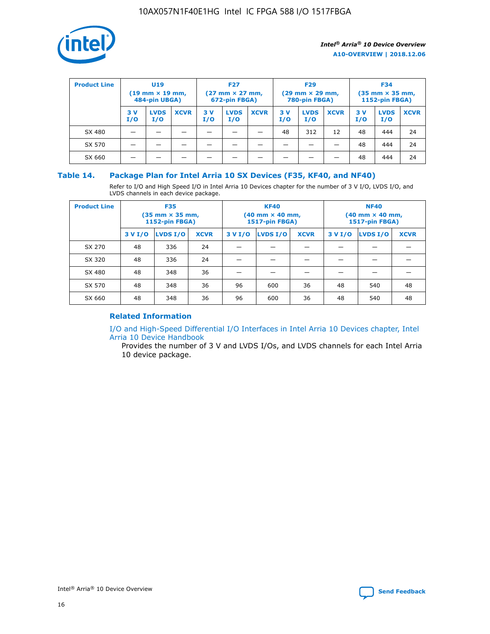

| <b>Product Line</b> | U <sub>19</sub><br>$(19$ mm $\times$ 19 mm,<br>484-pin UBGA) |                    | <b>F27</b><br>$(27 \text{ mm} \times 27 \text{ mm})$<br>672-pin FBGA) |           |                    | <b>F29</b><br>$(29 \text{ mm} \times 29 \text{ mm})$<br>780-pin FBGA) |           |                    | <b>F34</b><br>$(35$ mm $\times$ 35 mm,<br><b>1152-pin FBGA)</b> |           |                    |             |
|---------------------|--------------------------------------------------------------|--------------------|-----------------------------------------------------------------------|-----------|--------------------|-----------------------------------------------------------------------|-----------|--------------------|-----------------------------------------------------------------|-----------|--------------------|-------------|
|                     | 3 V<br>I/O                                                   | <b>LVDS</b><br>I/O | <b>XCVR</b>                                                           | 3V<br>I/O | <b>LVDS</b><br>I/O | <b>XCVR</b>                                                           | 3V<br>I/O | <b>LVDS</b><br>I/O | <b>XCVR</b>                                                     | 3V<br>I/O | <b>LVDS</b><br>I/O | <b>XCVR</b> |
| SX 480              |                                                              |                    |                                                                       |           |                    |                                                                       | 48        | 312                | 12                                                              | 48        | 444                | 24          |
| SX 570              |                                                              |                    |                                                                       |           |                    |                                                                       |           |                    |                                                                 | 48        | 444                | 24          |
| SX 660              |                                                              |                    |                                                                       |           |                    |                                                                       |           |                    |                                                                 | 48        | 444                | 24          |

## **Table 14. Package Plan for Intel Arria 10 SX Devices (F35, KF40, and NF40)**

Refer to I/O and High Speed I/O in Intel Arria 10 Devices chapter for the number of 3 V I/O, LVDS I/O, and LVDS channels in each device package.

| <b>Product Line</b> | <b>F35</b><br>(35 mm × 35 mm,<br><b>1152-pin FBGA)</b> |          |             |                                           | <b>KF40</b><br>(40 mm × 40 mm,<br>1517-pin FBGA) |    | <b>NF40</b><br>$(40 \text{ mm} \times 40 \text{ mm})$<br>1517-pin FBGA) |          |             |  |
|---------------------|--------------------------------------------------------|----------|-------------|-------------------------------------------|--------------------------------------------------|----|-------------------------------------------------------------------------|----------|-------------|--|
|                     | 3 V I/O                                                | LVDS I/O | <b>XCVR</b> | <b>LVDS I/O</b><br>3 V I/O<br><b>XCVR</b> |                                                  |    | 3 V I/O                                                                 | LVDS I/O | <b>XCVR</b> |  |
| SX 270              | 48                                                     | 336      | 24          |                                           |                                                  |    |                                                                         |          |             |  |
| SX 320              | 48                                                     | 336      | 24          |                                           |                                                  |    |                                                                         |          |             |  |
| SX 480              | 48                                                     | 348      | 36          |                                           |                                                  |    |                                                                         |          |             |  |
| SX 570              | 48                                                     | 348      | 36          | 96                                        | 600                                              | 36 | 48                                                                      | 540      | 48          |  |
| SX 660              | 48                                                     | 348      | 36          | 96                                        | 600                                              | 36 | 48                                                                      | 540      | 48          |  |

# **Related Information**

[I/O and High-Speed Differential I/O Interfaces in Intel Arria 10 Devices chapter, Intel](https://www.intel.com/content/www/us/en/programmable/documentation/sam1403482614086.html#sam1403482030321) [Arria 10 Device Handbook](https://www.intel.com/content/www/us/en/programmable/documentation/sam1403482614086.html#sam1403482030321)

Provides the number of 3 V and LVDS I/Os, and LVDS channels for each Intel Arria 10 device package.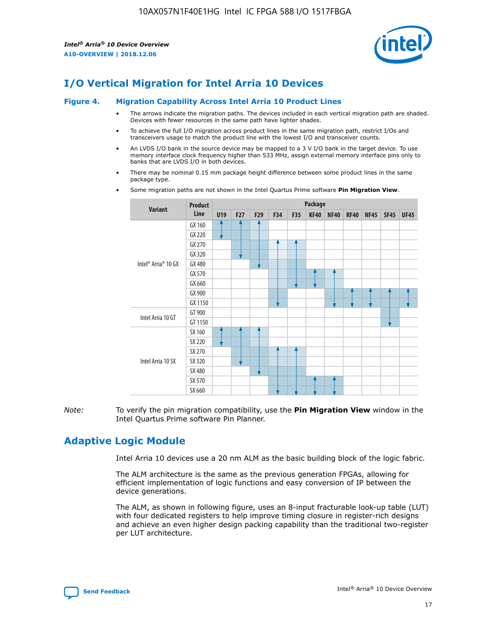

# **I/O Vertical Migration for Intel Arria 10 Devices**

#### **Figure 4. Migration Capability Across Intel Arria 10 Product Lines**

- The arrows indicate the migration paths. The devices included in each vertical migration path are shaded. Devices with fewer resources in the same path have lighter shades.
- To achieve the full I/O migration across product lines in the same migration path, restrict I/Os and transceivers usage to match the product line with the lowest I/O and transceiver counts.
- An LVDS I/O bank in the source device may be mapped to a 3 V I/O bank in the target device. To use memory interface clock frequency higher than 533 MHz, assign external memory interface pins only to banks that are LVDS I/O in both devices.
- There may be nominal 0.15 mm package height difference between some product lines in the same package type.
	- **Variant Product Line Package U19 F27 F29 F34 F35 KF40 NF40 RF40 NF45 SF45 UF45** Intel® Arria® 10 GX GX 160 GX 220 GX 270 GX 320 GX 480 GX 570 GX 660 GX 900 GX 1150 Intel Arria 10 GT GT 900 GT 1150 Intel Arria 10 SX SX 160 SX 220 SX 270 SX 320 SX 480 SX 570 SX 660
- Some migration paths are not shown in the Intel Quartus Prime software **Pin Migration View**.

*Note:* To verify the pin migration compatibility, use the **Pin Migration View** window in the Intel Quartus Prime software Pin Planner.

# **Adaptive Logic Module**

Intel Arria 10 devices use a 20 nm ALM as the basic building block of the logic fabric.

The ALM architecture is the same as the previous generation FPGAs, allowing for efficient implementation of logic functions and easy conversion of IP between the device generations.

The ALM, as shown in following figure, uses an 8-input fracturable look-up table (LUT) with four dedicated registers to help improve timing closure in register-rich designs and achieve an even higher design packing capability than the traditional two-register per LUT architecture.

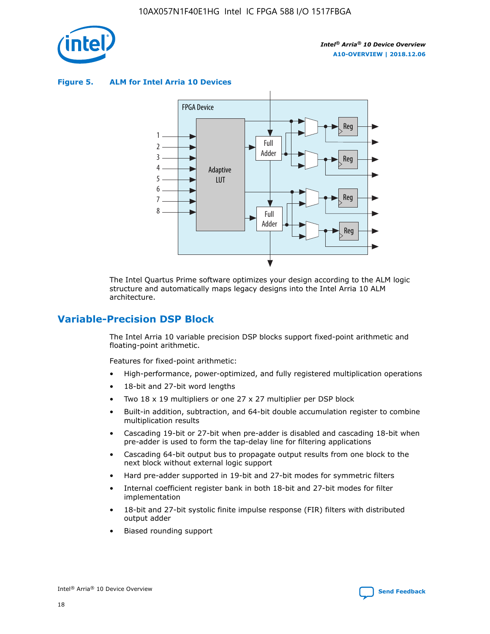

**Figure 5. ALM for Intel Arria 10 Devices**



The Intel Quartus Prime software optimizes your design according to the ALM logic structure and automatically maps legacy designs into the Intel Arria 10 ALM architecture.

# **Variable-Precision DSP Block**

The Intel Arria 10 variable precision DSP blocks support fixed-point arithmetic and floating-point arithmetic.

Features for fixed-point arithmetic:

- High-performance, power-optimized, and fully registered multiplication operations
- 18-bit and 27-bit word lengths
- Two 18 x 19 multipliers or one 27 x 27 multiplier per DSP block
- Built-in addition, subtraction, and 64-bit double accumulation register to combine multiplication results
- Cascading 19-bit or 27-bit when pre-adder is disabled and cascading 18-bit when pre-adder is used to form the tap-delay line for filtering applications
- Cascading 64-bit output bus to propagate output results from one block to the next block without external logic support
- Hard pre-adder supported in 19-bit and 27-bit modes for symmetric filters
- Internal coefficient register bank in both 18-bit and 27-bit modes for filter implementation
- 18-bit and 27-bit systolic finite impulse response (FIR) filters with distributed output adder
- Biased rounding support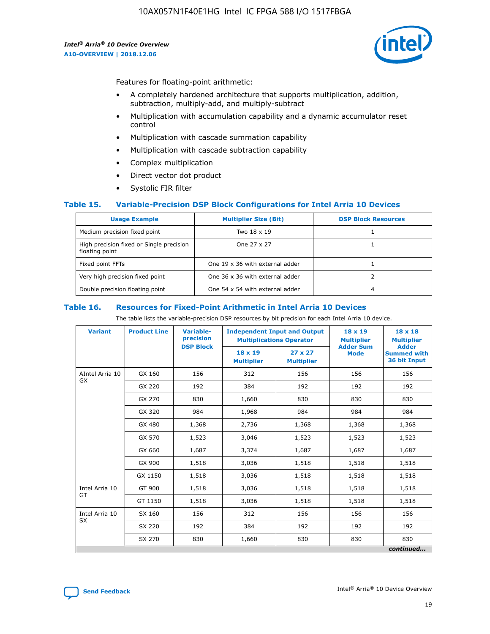

Features for floating-point arithmetic:

- A completely hardened architecture that supports multiplication, addition, subtraction, multiply-add, and multiply-subtract
- Multiplication with accumulation capability and a dynamic accumulator reset control
- Multiplication with cascade summation capability
- Multiplication with cascade subtraction capability
- Complex multiplication
- Direct vector dot product
- Systolic FIR filter

## **Table 15. Variable-Precision DSP Block Configurations for Intel Arria 10 Devices**

| <b>Usage Example</b>                                       | <b>Multiplier Size (Bit)</b>    | <b>DSP Block Resources</b> |
|------------------------------------------------------------|---------------------------------|----------------------------|
| Medium precision fixed point                               | Two 18 x 19                     |                            |
| High precision fixed or Single precision<br>floating point | One 27 x 27                     |                            |
| Fixed point FFTs                                           | One 19 x 36 with external adder |                            |
| Very high precision fixed point                            | One 36 x 36 with external adder |                            |
| Double precision floating point                            | One 54 x 54 with external adder | 4                          |

#### **Table 16. Resources for Fixed-Point Arithmetic in Intel Arria 10 Devices**

The table lists the variable-precision DSP resources by bit precision for each Intel Arria 10 device.

| <b>Variant</b>        | <b>Product Line</b> | <b>Variable-</b><br>precision<br><b>DSP Block</b> | <b>Independent Input and Output</b><br><b>Multiplications Operator</b> |                                     | 18 x 19<br><b>Multiplier</b><br><b>Adder Sum</b> | $18 \times 18$<br><b>Multiplier</b><br><b>Adder</b> |
|-----------------------|---------------------|---------------------------------------------------|------------------------------------------------------------------------|-------------------------------------|--------------------------------------------------|-----------------------------------------------------|
|                       |                     |                                                   | 18 x 19<br><b>Multiplier</b>                                           | $27 \times 27$<br><b>Multiplier</b> | <b>Mode</b>                                      | <b>Summed with</b><br>36 bit Input                  |
| AIntel Arria 10<br>GX | GX 160              | 156                                               | 312                                                                    | 156                                 | 156                                              | 156                                                 |
|                       | GX 220              | 192                                               | 384                                                                    | 192                                 | 192                                              | 192                                                 |
|                       | GX 270              | 830                                               | 1,660                                                                  | 830                                 | 830                                              | 830                                                 |
|                       | GX 320              | 984                                               | 1,968                                                                  | 984                                 | 984                                              | 984                                                 |
|                       | GX 480              | 1,368                                             | 2,736                                                                  | 1,368                               | 1,368                                            | 1,368                                               |
|                       | GX 570              | 1,523                                             | 3,046                                                                  | 1,523                               | 1,523                                            | 1,523                                               |
|                       | GX 660              | 1,687                                             | 3,374                                                                  | 1,687                               | 1,687                                            | 1,687                                               |
|                       | GX 900              | 1,518                                             | 3,036                                                                  | 1,518                               | 1,518                                            | 1,518                                               |
|                       | GX 1150             | 1,518                                             | 3,036                                                                  | 1,518                               | 1,518                                            | 1,518                                               |
| Intel Arria 10        | GT 900              | 1,518                                             | 3,036                                                                  | 1,518                               | 1,518                                            | 1,518                                               |
| GT                    | GT 1150             | 1,518                                             | 3,036                                                                  | 1,518                               | 1,518                                            | 1,518                                               |
| Intel Arria 10        | SX 160              | 156                                               | 312                                                                    | 156                                 | 156                                              | 156                                                 |
| <b>SX</b>             | SX 220              | 192                                               | 384                                                                    | 192                                 | 192                                              | 192                                                 |
|                       | SX 270              | 830                                               | 1,660                                                                  | 830                                 | 830                                              | 830                                                 |
|                       |                     |                                                   |                                                                        |                                     |                                                  | continued                                           |

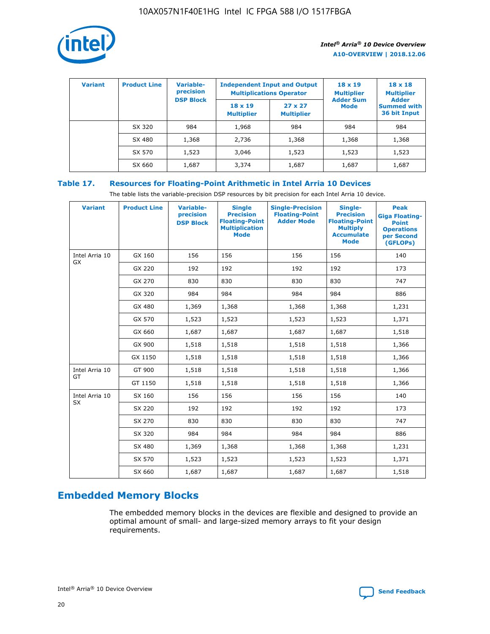

| <b>Variant</b> | <b>Product Line</b> | <b>Variable-</b><br>precision<br><b>DSP Block</b> | <b>Independent Input and Output</b><br><b>Multiplications Operator</b> |                                     | $18 \times 19$<br><b>Multiplier</b><br><b>Adder Sum</b> | $18 \times 18$<br><b>Multiplier</b><br><b>Adder</b> |  |
|----------------|---------------------|---------------------------------------------------|------------------------------------------------------------------------|-------------------------------------|---------------------------------------------------------|-----------------------------------------------------|--|
|                |                     |                                                   | $18 \times 19$<br><b>Multiplier</b>                                    | $27 \times 27$<br><b>Multiplier</b> | <b>Mode</b>                                             | <b>Summed with</b><br>36 bit Input                  |  |
|                | SX 320              | 984                                               | 1,968                                                                  | 984                                 | 984                                                     | 984                                                 |  |
|                | SX 480              | 1,368                                             | 2,736                                                                  | 1,368                               | 1,368                                                   | 1,368                                               |  |
|                | SX 570              | 1,523                                             | 3,046                                                                  | 1,523                               | 1,523                                                   | 1,523                                               |  |
|                | SX 660              | 1,687                                             | 3,374                                                                  | 1,687                               | 1,687                                                   | 1,687                                               |  |

# **Table 17. Resources for Floating-Point Arithmetic in Intel Arria 10 Devices**

The table lists the variable-precision DSP resources by bit precision for each Intel Arria 10 device.

| <b>Variant</b>              | <b>Product Line</b> | <b>Variable-</b><br>precision<br><b>DSP Block</b> | <b>Single</b><br><b>Precision</b><br><b>Floating-Point</b><br><b>Multiplication</b><br><b>Mode</b> | <b>Single-Precision</b><br><b>Floating-Point</b><br><b>Adder Mode</b> | Single-<br><b>Precision</b><br><b>Floating-Point</b><br><b>Multiply</b><br><b>Accumulate</b><br><b>Mode</b> | <b>Peak</b><br><b>Giga Floating-</b><br><b>Point</b><br><b>Operations</b><br>per Second<br>(GFLOPs) |
|-----------------------------|---------------------|---------------------------------------------------|----------------------------------------------------------------------------------------------------|-----------------------------------------------------------------------|-------------------------------------------------------------------------------------------------------------|-----------------------------------------------------------------------------------------------------|
| Intel Arria 10<br>GX        | GX 160              | 156                                               | 156                                                                                                | 156                                                                   | 156                                                                                                         | 140                                                                                                 |
|                             | GX 220              | 192                                               | 192                                                                                                | 192                                                                   | 192                                                                                                         | 173                                                                                                 |
|                             | GX 270              | 830                                               | 830                                                                                                | 830                                                                   | 830                                                                                                         | 747                                                                                                 |
|                             | GX 320              | 984                                               | 984                                                                                                | 984                                                                   | 984                                                                                                         | 886                                                                                                 |
|                             | GX 480              | 1,369                                             | 1,368                                                                                              | 1,368                                                                 | 1,368                                                                                                       | 1,231                                                                                               |
|                             | GX 570              | 1,523                                             | 1,523                                                                                              | 1,523                                                                 | 1,523                                                                                                       | 1,371                                                                                               |
|                             | GX 660              | 1,687                                             | 1,687                                                                                              | 1,687                                                                 | 1,687                                                                                                       | 1,518                                                                                               |
|                             | GX 900              | 1,518                                             | 1,518                                                                                              | 1,518                                                                 | 1,518                                                                                                       | 1,366                                                                                               |
|                             | GX 1150             | 1,518                                             | 1,518                                                                                              | 1,518                                                                 | 1,518                                                                                                       | 1,366                                                                                               |
| Intel Arria 10              | GT 900              | 1,518                                             | 1,518                                                                                              | 1,518                                                                 | 1,518                                                                                                       | 1,366                                                                                               |
| GT                          | GT 1150             | 1,518                                             | 1,518                                                                                              | 1,518                                                                 | 1,518                                                                                                       | 1,366                                                                                               |
| Intel Arria 10<br><b>SX</b> | SX 160              | 156                                               | 156                                                                                                | 156                                                                   | 156                                                                                                         | 140                                                                                                 |
|                             | SX 220              | 192                                               | 192                                                                                                | 192                                                                   | 192                                                                                                         | 173                                                                                                 |
|                             | SX 270              | 830                                               | 830                                                                                                | 830                                                                   | 830                                                                                                         | 747                                                                                                 |
|                             | SX 320              | 984                                               | 984                                                                                                | 984                                                                   | 984                                                                                                         | 886                                                                                                 |
|                             | SX 480              | 1,369                                             | 1,368                                                                                              | 1,368                                                                 | 1,368                                                                                                       | 1,231                                                                                               |
|                             | SX 570              | 1,523                                             | 1,523                                                                                              | 1,523                                                                 | 1,523                                                                                                       | 1,371                                                                                               |
|                             | SX 660              | 1,687                                             | 1,687                                                                                              | 1,687                                                                 | 1,687                                                                                                       | 1,518                                                                                               |

# **Embedded Memory Blocks**

The embedded memory blocks in the devices are flexible and designed to provide an optimal amount of small- and large-sized memory arrays to fit your design requirements.

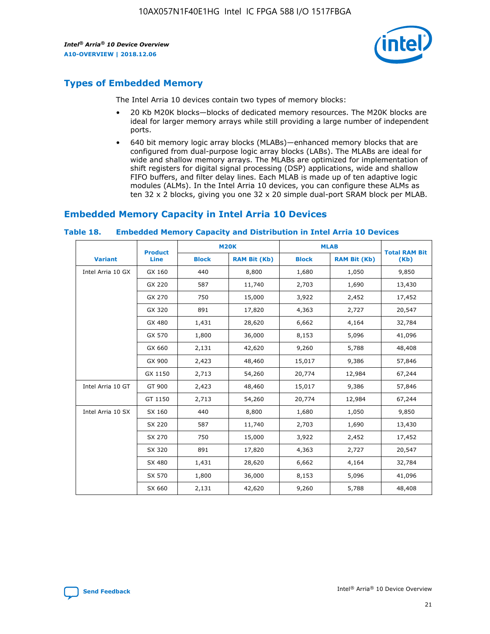

# **Types of Embedded Memory**

The Intel Arria 10 devices contain two types of memory blocks:

- 20 Kb M20K blocks—blocks of dedicated memory resources. The M20K blocks are ideal for larger memory arrays while still providing a large number of independent ports.
- 640 bit memory logic array blocks (MLABs)—enhanced memory blocks that are configured from dual-purpose logic array blocks (LABs). The MLABs are ideal for wide and shallow memory arrays. The MLABs are optimized for implementation of shift registers for digital signal processing (DSP) applications, wide and shallow FIFO buffers, and filter delay lines. Each MLAB is made up of ten adaptive logic modules (ALMs). In the Intel Arria 10 devices, you can configure these ALMs as ten 32 x 2 blocks, giving you one 32 x 20 simple dual-port SRAM block per MLAB.

# **Embedded Memory Capacity in Intel Arria 10 Devices**

|                   | <b>Product</b> |              | <b>M20K</b>         | <b>MLAB</b>  |                     | <b>Total RAM Bit</b> |
|-------------------|----------------|--------------|---------------------|--------------|---------------------|----------------------|
| <b>Variant</b>    | <b>Line</b>    | <b>Block</b> | <b>RAM Bit (Kb)</b> | <b>Block</b> | <b>RAM Bit (Kb)</b> | (Kb)                 |
| Intel Arria 10 GX | GX 160         | 440          | 8,800               | 1,680        | 1,050               | 9,850                |
|                   | GX 220         | 587          | 11,740              | 2,703        | 1,690               | 13,430               |
|                   | GX 270         | 750          | 15,000              | 3,922        | 2,452               | 17,452               |
|                   | GX 320         | 891          | 17,820              | 4,363        | 2,727               | 20,547               |
|                   | GX 480         | 1,431        | 28,620              | 6,662        | 4,164               | 32,784               |
|                   | GX 570         | 1,800        | 36,000              | 8,153        | 5,096               | 41,096               |
|                   | GX 660         | 2,131        | 42,620              | 9,260        | 5,788               | 48,408               |
|                   | GX 900         | 2,423        | 48,460              | 15,017       | 9,386               | 57,846               |
|                   | GX 1150        | 2,713        | 54,260              | 20,774       | 12,984              | 67,244               |
| Intel Arria 10 GT | GT 900         | 2,423        | 48,460              | 15,017       | 9,386               | 57,846               |
|                   | GT 1150        | 2,713        | 54,260              | 20,774       | 12,984              | 67,244               |
| Intel Arria 10 SX | SX 160         | 440          | 8,800               | 1,680        | 1,050               | 9,850                |
|                   | SX 220         | 587          | 11,740              | 2,703        | 1,690               | 13,430               |
|                   | SX 270         | 750          | 15,000              | 3,922        | 2,452               | 17,452               |
|                   | SX 320         | 891          | 17,820              | 4,363        | 2,727               | 20,547               |
|                   | SX 480         | 1,431        | 28,620              | 6,662        | 4,164               | 32,784               |
|                   | SX 570         | 1,800        | 36,000              | 8,153        | 5,096               | 41,096               |
|                   | SX 660         | 2,131        | 42,620              | 9,260        | 5,788               | 48,408               |

#### **Table 18. Embedded Memory Capacity and Distribution in Intel Arria 10 Devices**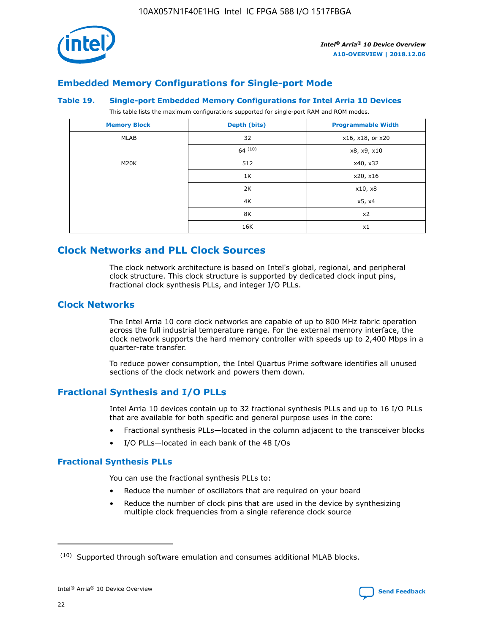

# **Embedded Memory Configurations for Single-port Mode**

#### **Table 19. Single-port Embedded Memory Configurations for Intel Arria 10 Devices**

This table lists the maximum configurations supported for single-port RAM and ROM modes.

| <b>Memory Block</b> | Depth (bits)           | <b>Programmable Width</b> |
|---------------------|------------------------|---------------------------|
| MLAB                | 32<br>x16, x18, or x20 |                           |
|                     | 64(10)                 | x8, x9, x10               |
| M20K                | 512                    | x40, x32                  |
|                     | 1K                     | x20, x16                  |
|                     | 2K                     | x10, x8                   |
|                     | 4K                     | x5, x4                    |
|                     | 8K                     | x2                        |
|                     | 16K                    | x1                        |

# **Clock Networks and PLL Clock Sources**

The clock network architecture is based on Intel's global, regional, and peripheral clock structure. This clock structure is supported by dedicated clock input pins, fractional clock synthesis PLLs, and integer I/O PLLs.

# **Clock Networks**

The Intel Arria 10 core clock networks are capable of up to 800 MHz fabric operation across the full industrial temperature range. For the external memory interface, the clock network supports the hard memory controller with speeds up to 2,400 Mbps in a quarter-rate transfer.

To reduce power consumption, the Intel Quartus Prime software identifies all unused sections of the clock network and powers them down.

# **Fractional Synthesis and I/O PLLs**

Intel Arria 10 devices contain up to 32 fractional synthesis PLLs and up to 16 I/O PLLs that are available for both specific and general purpose uses in the core:

- Fractional synthesis PLLs—located in the column adjacent to the transceiver blocks
- I/O PLLs—located in each bank of the 48 I/Os

## **Fractional Synthesis PLLs**

You can use the fractional synthesis PLLs to:

- Reduce the number of oscillators that are required on your board
- Reduce the number of clock pins that are used in the device by synthesizing multiple clock frequencies from a single reference clock source

<sup>(10)</sup> Supported through software emulation and consumes additional MLAB blocks.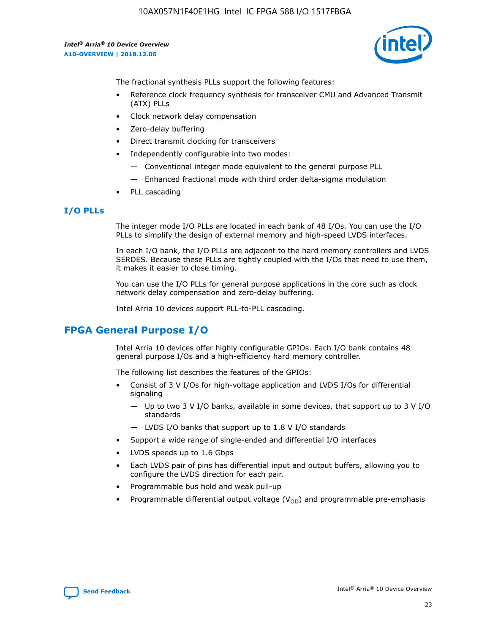

The fractional synthesis PLLs support the following features:

- Reference clock frequency synthesis for transceiver CMU and Advanced Transmit (ATX) PLLs
- Clock network delay compensation
- Zero-delay buffering
- Direct transmit clocking for transceivers
- Independently configurable into two modes:
	- Conventional integer mode equivalent to the general purpose PLL
	- Enhanced fractional mode with third order delta-sigma modulation
- PLL cascading

# **I/O PLLs**

The integer mode I/O PLLs are located in each bank of 48 I/Os. You can use the I/O PLLs to simplify the design of external memory and high-speed LVDS interfaces.

In each I/O bank, the I/O PLLs are adjacent to the hard memory controllers and LVDS SERDES. Because these PLLs are tightly coupled with the I/Os that need to use them, it makes it easier to close timing.

You can use the I/O PLLs for general purpose applications in the core such as clock network delay compensation and zero-delay buffering.

Intel Arria 10 devices support PLL-to-PLL cascading.

# **FPGA General Purpose I/O**

Intel Arria 10 devices offer highly configurable GPIOs. Each I/O bank contains 48 general purpose I/Os and a high-efficiency hard memory controller.

The following list describes the features of the GPIOs:

- Consist of 3 V I/Os for high-voltage application and LVDS I/Os for differential signaling
	- Up to two 3 V I/O banks, available in some devices, that support up to 3 V I/O standards
	- LVDS I/O banks that support up to 1.8 V I/O standards
- Support a wide range of single-ended and differential I/O interfaces
- LVDS speeds up to 1.6 Gbps
- Each LVDS pair of pins has differential input and output buffers, allowing you to configure the LVDS direction for each pair.
- Programmable bus hold and weak pull-up
- Programmable differential output voltage  $(V_{OD})$  and programmable pre-emphasis

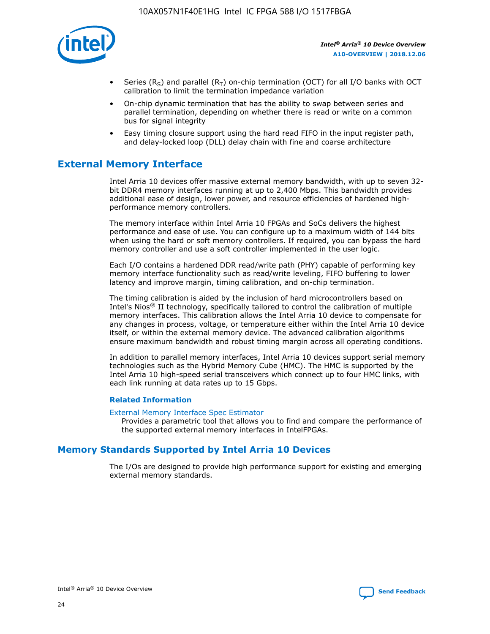

- Series (R<sub>S</sub>) and parallel (R<sub>T</sub>) on-chip termination (OCT) for all I/O banks with OCT calibration to limit the termination impedance variation
- On-chip dynamic termination that has the ability to swap between series and parallel termination, depending on whether there is read or write on a common bus for signal integrity
- Easy timing closure support using the hard read FIFO in the input register path, and delay-locked loop (DLL) delay chain with fine and coarse architecture

# **External Memory Interface**

Intel Arria 10 devices offer massive external memory bandwidth, with up to seven 32 bit DDR4 memory interfaces running at up to 2,400 Mbps. This bandwidth provides additional ease of design, lower power, and resource efficiencies of hardened highperformance memory controllers.

The memory interface within Intel Arria 10 FPGAs and SoCs delivers the highest performance and ease of use. You can configure up to a maximum width of 144 bits when using the hard or soft memory controllers. If required, you can bypass the hard memory controller and use a soft controller implemented in the user logic.

Each I/O contains a hardened DDR read/write path (PHY) capable of performing key memory interface functionality such as read/write leveling, FIFO buffering to lower latency and improve margin, timing calibration, and on-chip termination.

The timing calibration is aided by the inclusion of hard microcontrollers based on Intel's Nios® II technology, specifically tailored to control the calibration of multiple memory interfaces. This calibration allows the Intel Arria 10 device to compensate for any changes in process, voltage, or temperature either within the Intel Arria 10 device itself, or within the external memory device. The advanced calibration algorithms ensure maximum bandwidth and robust timing margin across all operating conditions.

In addition to parallel memory interfaces, Intel Arria 10 devices support serial memory technologies such as the Hybrid Memory Cube (HMC). The HMC is supported by the Intel Arria 10 high-speed serial transceivers which connect up to four HMC links, with each link running at data rates up to 15 Gbps.

## **Related Information**

#### [External Memory Interface Spec Estimator](http://www.altera.com/technology/memory/estimator/mem-emif-index.html)

Provides a parametric tool that allows you to find and compare the performance of the supported external memory interfaces in IntelFPGAs.

# **Memory Standards Supported by Intel Arria 10 Devices**

The I/Os are designed to provide high performance support for existing and emerging external memory standards.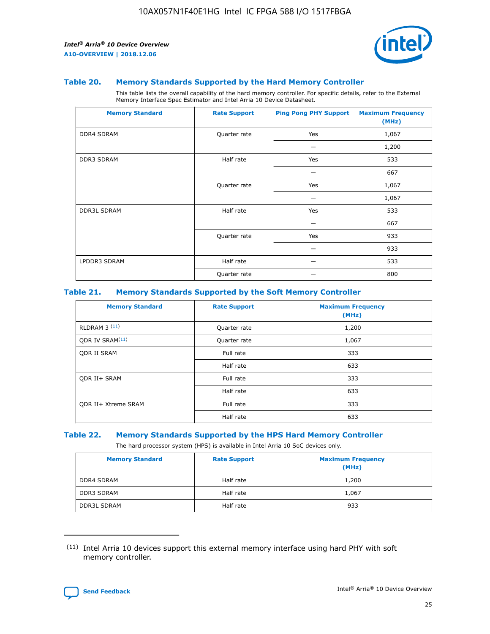

#### **Table 20. Memory Standards Supported by the Hard Memory Controller**

This table lists the overall capability of the hard memory controller. For specific details, refer to the External Memory Interface Spec Estimator and Intel Arria 10 Device Datasheet.

| <b>Memory Standard</b> | <b>Rate Support</b> | <b>Ping Pong PHY Support</b> | <b>Maximum Frequency</b><br>(MHz) |
|------------------------|---------------------|------------------------------|-----------------------------------|
| <b>DDR4 SDRAM</b>      | Quarter rate        | Yes                          | 1,067                             |
|                        |                     |                              | 1,200                             |
| DDR3 SDRAM             | Half rate           | Yes                          | 533                               |
|                        |                     |                              | 667                               |
|                        | Quarter rate        | Yes                          | 1,067                             |
|                        |                     |                              | 1,067                             |
| <b>DDR3L SDRAM</b>     | Half rate           | Yes                          | 533                               |
|                        |                     |                              | 667                               |
|                        | Quarter rate        | Yes                          | 933                               |
|                        |                     |                              | 933                               |
| LPDDR3 SDRAM           | Half rate           |                              | 533                               |
|                        | Quarter rate        |                              | 800                               |

## **Table 21. Memory Standards Supported by the Soft Memory Controller**

| <b>Memory Standard</b>      | <b>Rate Support</b> | <b>Maximum Frequency</b><br>(MHz) |
|-----------------------------|---------------------|-----------------------------------|
| <b>RLDRAM 3 (11)</b>        | Quarter rate        | 1,200                             |
| ODR IV SRAM <sup>(11)</sup> | Quarter rate        | 1,067                             |
| <b>ODR II SRAM</b>          | Full rate           | 333                               |
|                             | Half rate           | 633                               |
| <b>ODR II+ SRAM</b>         | Full rate           | 333                               |
|                             | Half rate           | 633                               |
| <b>ODR II+ Xtreme SRAM</b>  | Full rate           | 333                               |
|                             | Half rate           | 633                               |

#### **Table 22. Memory Standards Supported by the HPS Hard Memory Controller**

The hard processor system (HPS) is available in Intel Arria 10 SoC devices only.

| <b>Memory Standard</b> | <b>Rate Support</b> | <b>Maximum Frequency</b><br>(MHz) |
|------------------------|---------------------|-----------------------------------|
| <b>DDR4 SDRAM</b>      | Half rate           | 1,200                             |
| <b>DDR3 SDRAM</b>      | Half rate           | 1,067                             |
| <b>DDR3L SDRAM</b>     | Half rate           | 933                               |

<sup>(11)</sup> Intel Arria 10 devices support this external memory interface using hard PHY with soft memory controller.

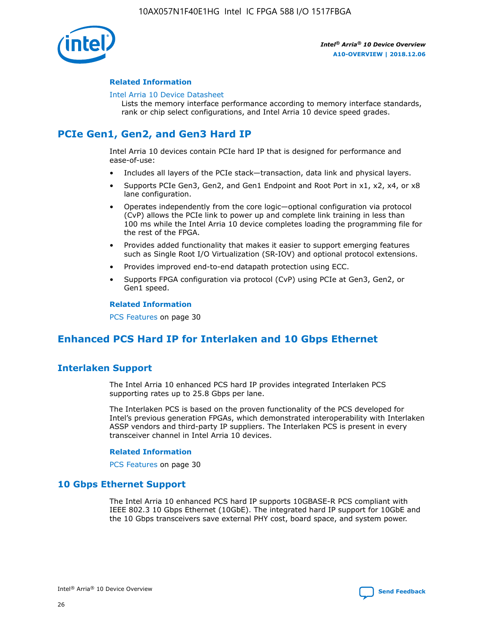

## **Related Information**

#### [Intel Arria 10 Device Datasheet](https://www.intel.com/content/www/us/en/programmable/documentation/mcn1413182292568.html#mcn1413182153340)

Lists the memory interface performance according to memory interface standards, rank or chip select configurations, and Intel Arria 10 device speed grades.

# **PCIe Gen1, Gen2, and Gen3 Hard IP**

Intel Arria 10 devices contain PCIe hard IP that is designed for performance and ease-of-use:

- Includes all layers of the PCIe stack—transaction, data link and physical layers.
- Supports PCIe Gen3, Gen2, and Gen1 Endpoint and Root Port in x1, x2, x4, or x8 lane configuration.
- Operates independently from the core logic—optional configuration via protocol (CvP) allows the PCIe link to power up and complete link training in less than 100 ms while the Intel Arria 10 device completes loading the programming file for the rest of the FPGA.
- Provides added functionality that makes it easier to support emerging features such as Single Root I/O Virtualization (SR-IOV) and optional protocol extensions.
- Provides improved end-to-end datapath protection using ECC.
- Supports FPGA configuration via protocol (CvP) using PCIe at Gen3, Gen2, or Gen1 speed.

#### **Related Information**

PCS Features on page 30

# **Enhanced PCS Hard IP for Interlaken and 10 Gbps Ethernet**

# **Interlaken Support**

The Intel Arria 10 enhanced PCS hard IP provides integrated Interlaken PCS supporting rates up to 25.8 Gbps per lane.

The Interlaken PCS is based on the proven functionality of the PCS developed for Intel's previous generation FPGAs, which demonstrated interoperability with Interlaken ASSP vendors and third-party IP suppliers. The Interlaken PCS is present in every transceiver channel in Intel Arria 10 devices.

## **Related Information**

PCS Features on page 30

# **10 Gbps Ethernet Support**

The Intel Arria 10 enhanced PCS hard IP supports 10GBASE-R PCS compliant with IEEE 802.3 10 Gbps Ethernet (10GbE). The integrated hard IP support for 10GbE and the 10 Gbps transceivers save external PHY cost, board space, and system power.

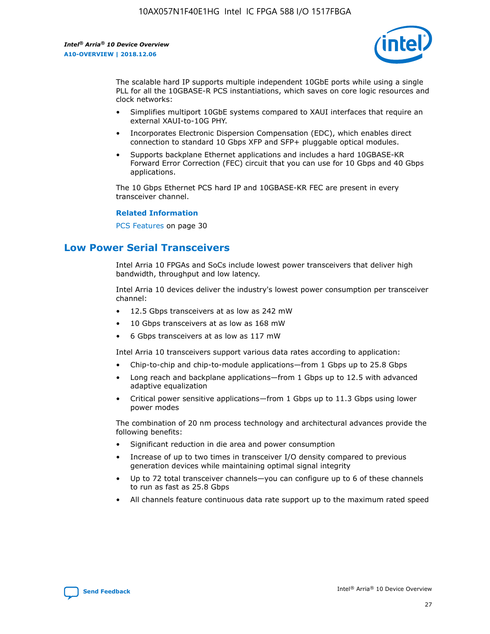

The scalable hard IP supports multiple independent 10GbE ports while using a single PLL for all the 10GBASE-R PCS instantiations, which saves on core logic resources and clock networks:

- Simplifies multiport 10GbE systems compared to XAUI interfaces that require an external XAUI-to-10G PHY.
- Incorporates Electronic Dispersion Compensation (EDC), which enables direct connection to standard 10 Gbps XFP and SFP+ pluggable optical modules.
- Supports backplane Ethernet applications and includes a hard 10GBASE-KR Forward Error Correction (FEC) circuit that you can use for 10 Gbps and 40 Gbps applications.

The 10 Gbps Ethernet PCS hard IP and 10GBASE-KR FEC are present in every transceiver channel.

## **Related Information**

PCS Features on page 30

# **Low Power Serial Transceivers**

Intel Arria 10 FPGAs and SoCs include lowest power transceivers that deliver high bandwidth, throughput and low latency.

Intel Arria 10 devices deliver the industry's lowest power consumption per transceiver channel:

- 12.5 Gbps transceivers at as low as 242 mW
- 10 Gbps transceivers at as low as 168 mW
- 6 Gbps transceivers at as low as 117 mW

Intel Arria 10 transceivers support various data rates according to application:

- Chip-to-chip and chip-to-module applications—from 1 Gbps up to 25.8 Gbps
- Long reach and backplane applications—from 1 Gbps up to 12.5 with advanced adaptive equalization
- Critical power sensitive applications—from 1 Gbps up to 11.3 Gbps using lower power modes

The combination of 20 nm process technology and architectural advances provide the following benefits:

- Significant reduction in die area and power consumption
- Increase of up to two times in transceiver I/O density compared to previous generation devices while maintaining optimal signal integrity
- Up to 72 total transceiver channels—you can configure up to 6 of these channels to run as fast as 25.8 Gbps
- All channels feature continuous data rate support up to the maximum rated speed

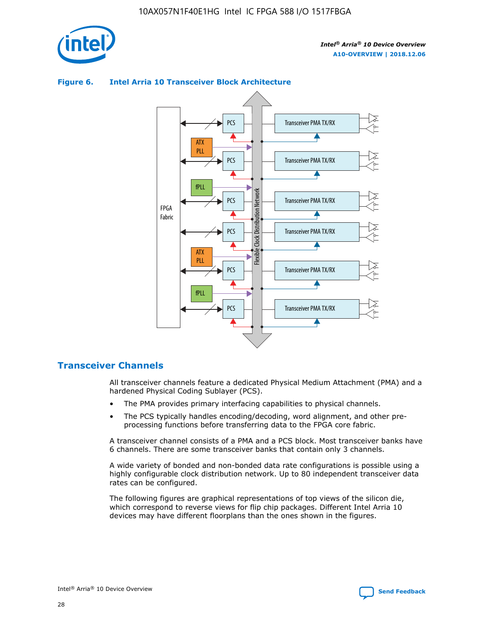



## **Figure 6. Intel Arria 10 Transceiver Block Architecture**

# **Transceiver Channels**

All transceiver channels feature a dedicated Physical Medium Attachment (PMA) and a hardened Physical Coding Sublayer (PCS).

- The PMA provides primary interfacing capabilities to physical channels.
- The PCS typically handles encoding/decoding, word alignment, and other preprocessing functions before transferring data to the FPGA core fabric.

A transceiver channel consists of a PMA and a PCS block. Most transceiver banks have 6 channels. There are some transceiver banks that contain only 3 channels.

A wide variety of bonded and non-bonded data rate configurations is possible using a highly configurable clock distribution network. Up to 80 independent transceiver data rates can be configured.

The following figures are graphical representations of top views of the silicon die, which correspond to reverse views for flip chip packages. Different Intel Arria 10 devices may have different floorplans than the ones shown in the figures.

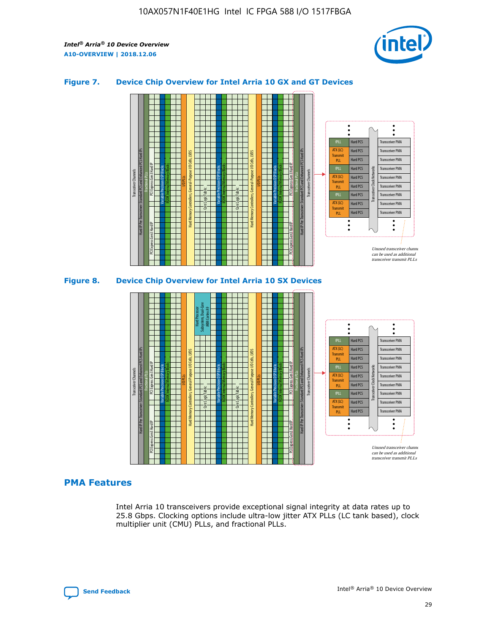

# **Figure 7. Device Chip Overview for Intel Arria 10 GX and GT Devices**



M20K Internal Memory Blocks Core Logic Fabric Transceiver Channels Hard IP Per Transceiver: Standard PCS and Enhanced PCS Hard IPs PCI Express Gen3 Hard IP Fractional PLLs M20K Internal Memory Blocks PCI Express Gen3 Hard IP Variable Precision DSP Blocks I/O PLLs Hard Memory Controllers, General-Purpose I/O Cells, LVDS Hard Processor Subsystem, Dual-Core ARM Cortex A9 M20K Internal Memory Blocks Variable Precision DSP Blocks M20K Internal Memory Blocks Core Logic Fabric I/O PLLs Hard Memory Controllers, General-Purpose I/O Cells, LVDS M20K Internal Memory Blocks Variable Precision DSP Blocks M20K Internal Memory Blocks Transceiver Channels Hard IP Per Transceiver: Standard PCS and Enhanced PCS Hard IPs PCI Express Gen3 Hard IP Fractional PLLs PCI Express Gen3 Hard IP  $\ddot{\cdot}$ Hard PCS Transceiver PMA fPLL ATX (LC) Hard PCS Transceiver PMA **Transmit** Hard PCS Transceiver PMA PLL fPLL Hard PCS Transceiver PMA Transceiver Clock Networks ATX (LC) Hard PCS Transceiver PMA Transmi Hard PCS Transceiver PMA PLL fPLL Hard PCS Transceiver PMA Transceiver PMA Hard PCS ATX (LC) **Transmit** Hard PCS Transceiver PMA PLL Unused transceiver chann can be used as additional transceiver transmit PLLs

# **PMA Features**

Intel Arria 10 transceivers provide exceptional signal integrity at data rates up to 25.8 Gbps. Clocking options include ultra-low jitter ATX PLLs (LC tank based), clock multiplier unit (CMU) PLLs, and fractional PLLs.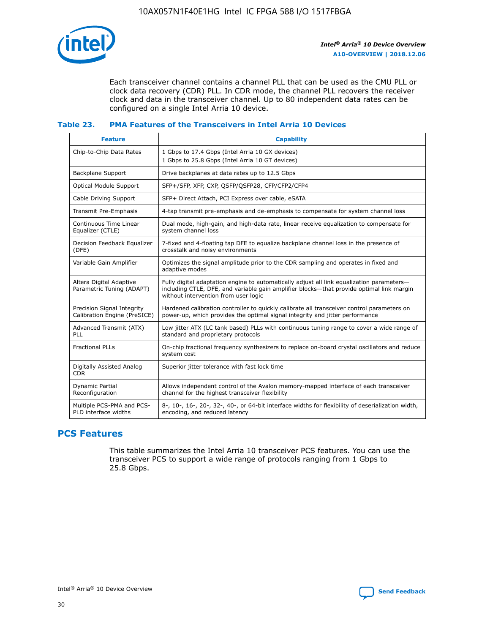

Each transceiver channel contains a channel PLL that can be used as the CMU PLL or clock data recovery (CDR) PLL. In CDR mode, the channel PLL recovers the receiver clock and data in the transceiver channel. Up to 80 independent data rates can be configured on a single Intel Arria 10 device.

## **Table 23. PMA Features of the Transceivers in Intel Arria 10 Devices**

| <b>Feature</b>                                             | <b>Capability</b>                                                                                                                                                                                                             |
|------------------------------------------------------------|-------------------------------------------------------------------------------------------------------------------------------------------------------------------------------------------------------------------------------|
| Chip-to-Chip Data Rates                                    | 1 Gbps to 17.4 Gbps (Intel Arria 10 GX devices)<br>1 Gbps to 25.8 Gbps (Intel Arria 10 GT devices)                                                                                                                            |
| <b>Backplane Support</b>                                   | Drive backplanes at data rates up to 12.5 Gbps                                                                                                                                                                                |
| <b>Optical Module Support</b>                              | SFP+/SFP, XFP, CXP, QSFP/QSFP28, CFP/CFP2/CFP4                                                                                                                                                                                |
| Cable Driving Support                                      | SFP+ Direct Attach, PCI Express over cable, eSATA                                                                                                                                                                             |
| Transmit Pre-Emphasis                                      | 4-tap transmit pre-emphasis and de-emphasis to compensate for system channel loss                                                                                                                                             |
| Continuous Time Linear<br>Equalizer (CTLE)                 | Dual mode, high-gain, and high-data rate, linear receive equalization to compensate for<br>system channel loss                                                                                                                |
| Decision Feedback Equalizer<br>(DFE)                       | 7-fixed and 4-floating tap DFE to equalize backplane channel loss in the presence of<br>crosstalk and noisy environments                                                                                                      |
| Variable Gain Amplifier                                    | Optimizes the signal amplitude prior to the CDR sampling and operates in fixed and<br>adaptive modes                                                                                                                          |
| Altera Digital Adaptive<br>Parametric Tuning (ADAPT)       | Fully digital adaptation engine to automatically adjust all link equalization parameters-<br>including CTLE, DFE, and variable gain amplifier blocks—that provide optimal link margin<br>without intervention from user logic |
| Precision Signal Integrity<br>Calibration Engine (PreSICE) | Hardened calibration controller to quickly calibrate all transceiver control parameters on<br>power-up, which provides the optimal signal integrity and jitter performance                                                    |
| Advanced Transmit (ATX)<br><b>PLL</b>                      | Low jitter ATX (LC tank based) PLLs with continuous tuning range to cover a wide range of<br>standard and proprietary protocols                                                                                               |
| <b>Fractional PLLs</b>                                     | On-chip fractional frequency synthesizers to replace on-board crystal oscillators and reduce<br>system cost                                                                                                                   |
| Digitally Assisted Analog<br><b>CDR</b>                    | Superior jitter tolerance with fast lock time                                                                                                                                                                                 |
| Dynamic Partial<br>Reconfiguration                         | Allows independent control of the Avalon memory-mapped interface of each transceiver<br>channel for the highest transceiver flexibility                                                                                       |
| Multiple PCS-PMA and PCS-<br>PLD interface widths          | 8-, 10-, 16-, 20-, 32-, 40-, or 64-bit interface widths for flexibility of deserialization width,<br>encoding, and reduced latency                                                                                            |

# **PCS Features**

This table summarizes the Intel Arria 10 transceiver PCS features. You can use the transceiver PCS to support a wide range of protocols ranging from 1 Gbps to 25.8 Gbps.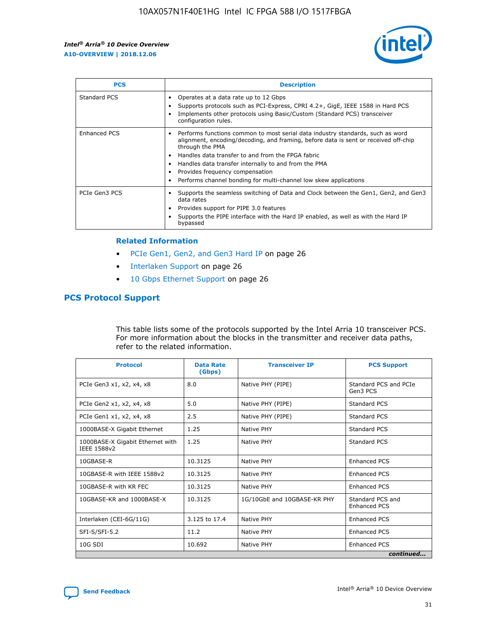

| <b>PCS</b>    | <b>Description</b>                                                                                                                                                                                                                                                                                                                                                                                             |
|---------------|----------------------------------------------------------------------------------------------------------------------------------------------------------------------------------------------------------------------------------------------------------------------------------------------------------------------------------------------------------------------------------------------------------------|
| Standard PCS  | Operates at a data rate up to 12 Gbps<br>Supports protocols such as PCI-Express, CPRI 4.2+, GigE, IEEE 1588 in Hard PCS<br>Implements other protocols using Basic/Custom (Standard PCS) transceiver<br>configuration rules.                                                                                                                                                                                    |
| Enhanced PCS  | Performs functions common to most serial data industry standards, such as word<br>alignment, encoding/decoding, and framing, before data is sent or received off-chip<br>through the PMA<br>• Handles data transfer to and from the FPGA fabric<br>Handles data transfer internally to and from the PMA<br>Provides frequency compensation<br>Performs channel bonding for multi-channel low skew applications |
| PCIe Gen3 PCS | Supports the seamless switching of Data and Clock between the Gen1, Gen2, and Gen3<br>data rates<br>Provides support for PIPE 3.0 features<br>Supports the PIPE interface with the Hard IP enabled, as well as with the Hard IP<br>bypassed                                                                                                                                                                    |

#### **Related Information**

- PCIe Gen1, Gen2, and Gen3 Hard IP on page 26
- Interlaken Support on page 26
- 10 Gbps Ethernet Support on page 26

# **PCS Protocol Support**

This table lists some of the protocols supported by the Intel Arria 10 transceiver PCS. For more information about the blocks in the transmitter and receiver data paths, refer to the related information.

| <b>Protocol</b>                                 | <b>Data Rate</b><br>(Gbps) | <b>Transceiver IP</b>       | <b>PCS Support</b>                      |
|-------------------------------------------------|----------------------------|-----------------------------|-----------------------------------------|
| PCIe Gen3 x1, x2, x4, x8                        | 8.0                        | Native PHY (PIPE)           | Standard PCS and PCIe<br>Gen3 PCS       |
| PCIe Gen2 x1, x2, x4, x8                        | 5.0                        | Native PHY (PIPE)           | <b>Standard PCS</b>                     |
| PCIe Gen1 x1, x2, x4, x8                        | 2.5                        | Native PHY (PIPE)           | Standard PCS                            |
| 1000BASE-X Gigabit Ethernet                     | 1.25                       | Native PHY                  | <b>Standard PCS</b>                     |
| 1000BASE-X Gigabit Ethernet with<br>IEEE 1588v2 | 1.25                       | Native PHY                  | Standard PCS                            |
| 10GBASE-R                                       | 10.3125                    | Native PHY                  | <b>Enhanced PCS</b>                     |
| 10GBASE-R with IEEE 1588v2                      | 10.3125                    | Native PHY                  | <b>Enhanced PCS</b>                     |
| 10GBASE-R with KR FEC                           | 10.3125                    | Native PHY                  | <b>Enhanced PCS</b>                     |
| 10GBASE-KR and 1000BASE-X                       | 10.3125                    | 1G/10GbE and 10GBASE-KR PHY | Standard PCS and<br><b>Enhanced PCS</b> |
| Interlaken (CEI-6G/11G)                         | 3.125 to 17.4              | Native PHY                  | <b>Enhanced PCS</b>                     |
| SFI-S/SFI-5.2                                   | 11.2                       | Native PHY                  | <b>Enhanced PCS</b>                     |
| $10G$ SDI                                       | 10.692                     | Native PHY                  | <b>Enhanced PCS</b>                     |
|                                                 |                            |                             | continued                               |

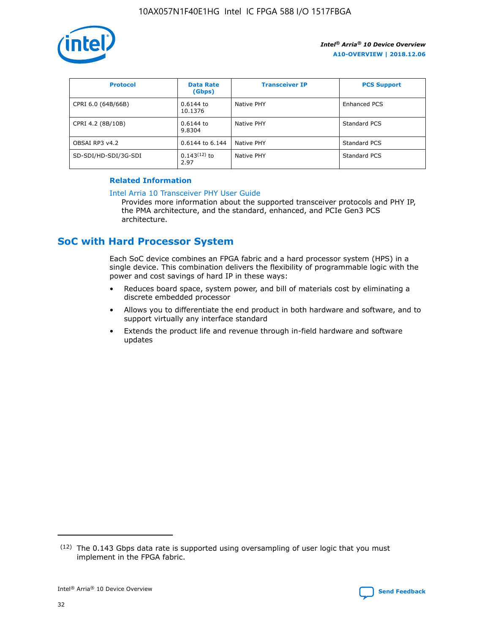

| <b>Protocol</b>      | <b>Data Rate</b><br>(Gbps) | <b>Transceiver IP</b> | <b>PCS Support</b> |
|----------------------|----------------------------|-----------------------|--------------------|
| CPRI 6.0 (64B/66B)   | 0.6144 to<br>10.1376       | Native PHY            | Enhanced PCS       |
| CPRI 4.2 (8B/10B)    | 0.6144 to<br>9.8304        | Native PHY            | Standard PCS       |
| OBSAI RP3 v4.2       | 0.6144 to 6.144            | Native PHY            | Standard PCS       |
| SD-SDI/HD-SDI/3G-SDI | $0.143(12)$ to<br>2.97     | Native PHY            | Standard PCS       |

# **Related Information**

#### [Intel Arria 10 Transceiver PHY User Guide](https://www.intel.com/content/www/us/en/programmable/documentation/nik1398707230472.html#nik1398707091164)

Provides more information about the supported transceiver protocols and PHY IP, the PMA architecture, and the standard, enhanced, and PCIe Gen3 PCS architecture.

# **SoC with Hard Processor System**

Each SoC device combines an FPGA fabric and a hard processor system (HPS) in a single device. This combination delivers the flexibility of programmable logic with the power and cost savings of hard IP in these ways:

- Reduces board space, system power, and bill of materials cost by eliminating a discrete embedded processor
- Allows you to differentiate the end product in both hardware and software, and to support virtually any interface standard
- Extends the product life and revenue through in-field hardware and software updates

 $(12)$  The 0.143 Gbps data rate is supported using oversampling of user logic that you must implement in the FPGA fabric.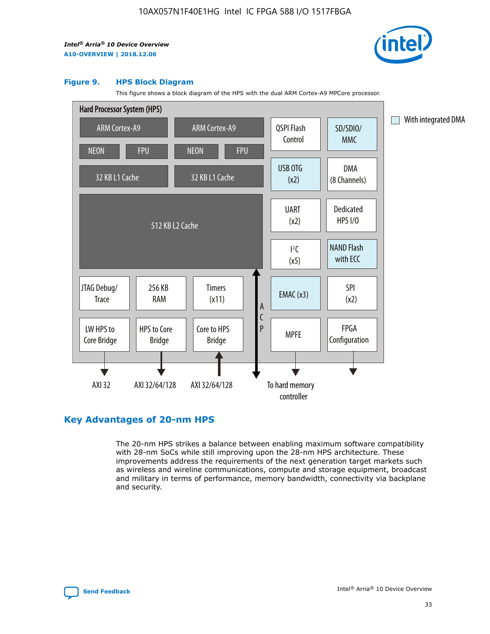

#### **Figure 9. HPS Block Diagram**

This figure shows a block diagram of the HPS with the dual ARM Cortex-A9 MPCore processor.



# **Key Advantages of 20-nm HPS**

The 20-nm HPS strikes a balance between enabling maximum software compatibility with 28-nm SoCs while still improving upon the 28-nm HPS architecture. These improvements address the requirements of the next generation target markets such as wireless and wireline communications, compute and storage equipment, broadcast and military in terms of performance, memory bandwidth, connectivity via backplane and security.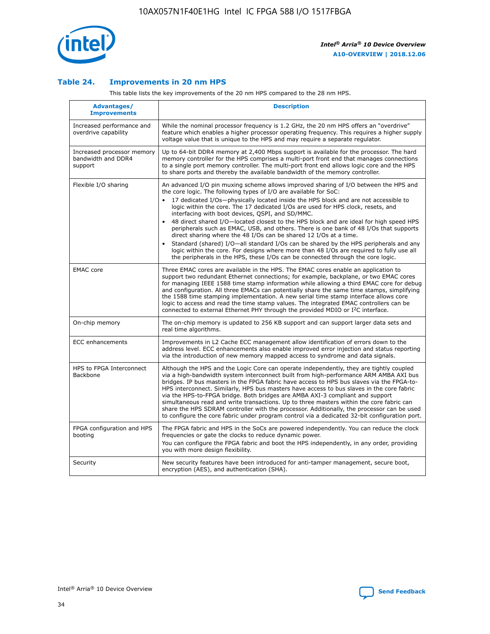

## **Table 24. Improvements in 20 nm HPS**

This table lists the key improvements of the 20 nm HPS compared to the 28 nm HPS.

| Advantages/<br><b>Improvements</b>                          | <b>Description</b>                                                                                                                                                                                                                                                                                                                                                                                                                                                                                                                                                                                                                                                                                                                                                                                                                                                                                                                                |
|-------------------------------------------------------------|---------------------------------------------------------------------------------------------------------------------------------------------------------------------------------------------------------------------------------------------------------------------------------------------------------------------------------------------------------------------------------------------------------------------------------------------------------------------------------------------------------------------------------------------------------------------------------------------------------------------------------------------------------------------------------------------------------------------------------------------------------------------------------------------------------------------------------------------------------------------------------------------------------------------------------------------------|
| Increased performance and<br>overdrive capability           | While the nominal processor frequency is 1.2 GHz, the 20 nm HPS offers an "overdrive"<br>feature which enables a higher processor operating frequency. This requires a higher supply<br>voltage value that is unique to the HPS and may require a separate regulator.                                                                                                                                                                                                                                                                                                                                                                                                                                                                                                                                                                                                                                                                             |
| Increased processor memory<br>bandwidth and DDR4<br>support | Up to 64-bit DDR4 memory at 2,400 Mbps support is available for the processor. The hard<br>memory controller for the HPS comprises a multi-port front end that manages connections<br>to a single port memory controller. The multi-port front end allows logic core and the HPS<br>to share ports and thereby the available bandwidth of the memory controller.                                                                                                                                                                                                                                                                                                                                                                                                                                                                                                                                                                                  |
| Flexible I/O sharing                                        | An advanced I/O pin muxing scheme allows improved sharing of I/O between the HPS and<br>the core logic. The following types of I/O are available for SoC:<br>$\bullet$<br>17 dedicated I/Os-physically located inside the HPS block and are not accessible to<br>logic within the core. The 17 dedicated I/Os are used for HPS clock, resets, and<br>interfacing with boot devices, QSPI, and SD/MMC.<br>48 direct shared I/O-located closest to the HPS block and are ideal for high speed HPS<br>$\bullet$<br>peripherals such as EMAC, USB, and others. There is one bank of 48 I/Os that supports<br>direct sharing where the 48 I/Os can be shared 12 I/Os at a time.<br>Standard (shared) I/O-all standard I/Os can be shared by the HPS peripherals and any<br>logic within the core. For designs where more than 48 I/Os are required to fully use all<br>the peripherals in the HPS, these I/Os can be connected through the core logic. |
| <b>EMAC</b> core                                            | Three EMAC cores are available in the HPS. The EMAC cores enable an application to<br>support two redundant Ethernet connections; for example, backplane, or two EMAC cores<br>for managing IEEE 1588 time stamp information while allowing a third EMAC core for debug<br>and configuration. All three EMACs can potentially share the same time stamps, simplifying<br>the 1588 time stamping implementation. A new serial time stamp interface allows core<br>logic to access and read the time stamp values. The integrated EMAC controllers can be<br>connected to external Ethernet PHY through the provided MDIO or I <sup>2</sup> C interface.                                                                                                                                                                                                                                                                                            |
| On-chip memory                                              | The on-chip memory is updated to 256 KB support and can support larger data sets and<br>real time algorithms.                                                                                                                                                                                                                                                                                                                                                                                                                                                                                                                                                                                                                                                                                                                                                                                                                                     |
| <b>ECC</b> enhancements                                     | Improvements in L2 Cache ECC management allow identification of errors down to the<br>address level. ECC enhancements also enable improved error injection and status reporting<br>via the introduction of new memory mapped access to syndrome and data signals.                                                                                                                                                                                                                                                                                                                                                                                                                                                                                                                                                                                                                                                                                 |
| HPS to FPGA Interconnect<br>Backbone                        | Although the HPS and the Logic Core can operate independently, they are tightly coupled<br>via a high-bandwidth system interconnect built from high-performance ARM AMBA AXI bus<br>bridges. IP bus masters in the FPGA fabric have access to HPS bus slaves via the FPGA-to-<br>HPS interconnect. Similarly, HPS bus masters have access to bus slaves in the core fabric<br>via the HPS-to-FPGA bridge. Both bridges are AMBA AXI-3 compliant and support<br>simultaneous read and write transactions. Up to three masters within the core fabric can<br>share the HPS SDRAM controller with the processor. Additionally, the processor can be used<br>to configure the core fabric under program control via a dedicated 32-bit configuration port.                                                                                                                                                                                            |
| FPGA configuration and HPS<br>booting                       | The FPGA fabric and HPS in the SoCs are powered independently. You can reduce the clock<br>frequencies or gate the clocks to reduce dynamic power.<br>You can configure the FPGA fabric and boot the HPS independently, in any order, providing<br>you with more design flexibility.                                                                                                                                                                                                                                                                                                                                                                                                                                                                                                                                                                                                                                                              |
| Security                                                    | New security features have been introduced for anti-tamper management, secure boot,<br>encryption (AES), and authentication (SHA).                                                                                                                                                                                                                                                                                                                                                                                                                                                                                                                                                                                                                                                                                                                                                                                                                |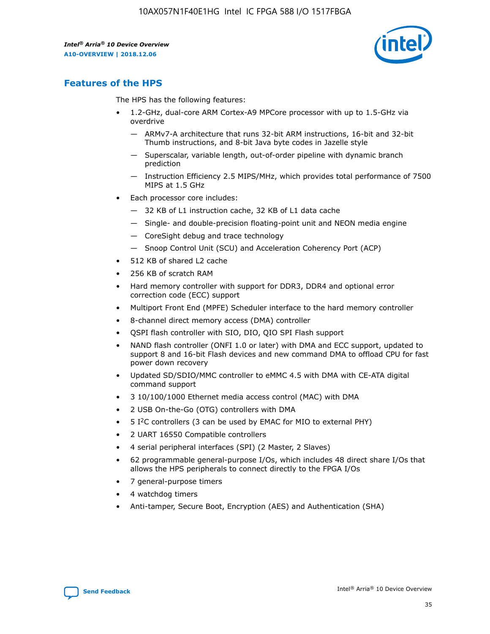

# **Features of the HPS**

The HPS has the following features:

- 1.2-GHz, dual-core ARM Cortex-A9 MPCore processor with up to 1.5-GHz via overdrive
	- ARMv7-A architecture that runs 32-bit ARM instructions, 16-bit and 32-bit Thumb instructions, and 8-bit Java byte codes in Jazelle style
	- Superscalar, variable length, out-of-order pipeline with dynamic branch prediction
	- Instruction Efficiency 2.5 MIPS/MHz, which provides total performance of 7500 MIPS at 1.5 GHz
- Each processor core includes:
	- 32 KB of L1 instruction cache, 32 KB of L1 data cache
	- Single- and double-precision floating-point unit and NEON media engine
	- CoreSight debug and trace technology
	- Snoop Control Unit (SCU) and Acceleration Coherency Port (ACP)
- 512 KB of shared L2 cache
- 256 KB of scratch RAM
- Hard memory controller with support for DDR3, DDR4 and optional error correction code (ECC) support
- Multiport Front End (MPFE) Scheduler interface to the hard memory controller
- 8-channel direct memory access (DMA) controller
- QSPI flash controller with SIO, DIO, QIO SPI Flash support
- NAND flash controller (ONFI 1.0 or later) with DMA and ECC support, updated to support 8 and 16-bit Flash devices and new command DMA to offload CPU for fast power down recovery
- Updated SD/SDIO/MMC controller to eMMC 4.5 with DMA with CE-ATA digital command support
- 3 10/100/1000 Ethernet media access control (MAC) with DMA
- 2 USB On-the-Go (OTG) controllers with DMA
- $\bullet$  5 I<sup>2</sup>C controllers (3 can be used by EMAC for MIO to external PHY)
- 2 UART 16550 Compatible controllers
- 4 serial peripheral interfaces (SPI) (2 Master, 2 Slaves)
- 62 programmable general-purpose I/Os, which includes 48 direct share I/Os that allows the HPS peripherals to connect directly to the FPGA I/Os
- 7 general-purpose timers
- 4 watchdog timers
- Anti-tamper, Secure Boot, Encryption (AES) and Authentication (SHA)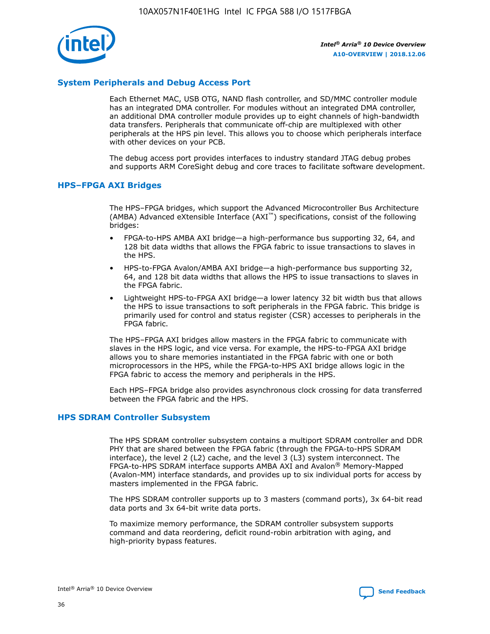

# **System Peripherals and Debug Access Port**

Each Ethernet MAC, USB OTG, NAND flash controller, and SD/MMC controller module has an integrated DMA controller. For modules without an integrated DMA controller, an additional DMA controller module provides up to eight channels of high-bandwidth data transfers. Peripherals that communicate off-chip are multiplexed with other peripherals at the HPS pin level. This allows you to choose which peripherals interface with other devices on your PCB.

The debug access port provides interfaces to industry standard JTAG debug probes and supports ARM CoreSight debug and core traces to facilitate software development.

#### **HPS–FPGA AXI Bridges**

The HPS–FPGA bridges, which support the Advanced Microcontroller Bus Architecture (AMBA) Advanced eXtensible Interface (AXI™) specifications, consist of the following bridges:

- FPGA-to-HPS AMBA AXI bridge—a high-performance bus supporting 32, 64, and 128 bit data widths that allows the FPGA fabric to issue transactions to slaves in the HPS.
- HPS-to-FPGA Avalon/AMBA AXI bridge—a high-performance bus supporting 32, 64, and 128 bit data widths that allows the HPS to issue transactions to slaves in the FPGA fabric.
- Lightweight HPS-to-FPGA AXI bridge—a lower latency 32 bit width bus that allows the HPS to issue transactions to soft peripherals in the FPGA fabric. This bridge is primarily used for control and status register (CSR) accesses to peripherals in the FPGA fabric.

The HPS–FPGA AXI bridges allow masters in the FPGA fabric to communicate with slaves in the HPS logic, and vice versa. For example, the HPS-to-FPGA AXI bridge allows you to share memories instantiated in the FPGA fabric with one or both microprocessors in the HPS, while the FPGA-to-HPS AXI bridge allows logic in the FPGA fabric to access the memory and peripherals in the HPS.

Each HPS–FPGA bridge also provides asynchronous clock crossing for data transferred between the FPGA fabric and the HPS.

#### **HPS SDRAM Controller Subsystem**

The HPS SDRAM controller subsystem contains a multiport SDRAM controller and DDR PHY that are shared between the FPGA fabric (through the FPGA-to-HPS SDRAM interface), the level 2 (L2) cache, and the level 3 (L3) system interconnect. The FPGA-to-HPS SDRAM interface supports AMBA AXI and Avalon® Memory-Mapped (Avalon-MM) interface standards, and provides up to six individual ports for access by masters implemented in the FPGA fabric.

The HPS SDRAM controller supports up to 3 masters (command ports), 3x 64-bit read data ports and 3x 64-bit write data ports.

To maximize memory performance, the SDRAM controller subsystem supports command and data reordering, deficit round-robin arbitration with aging, and high-priority bypass features.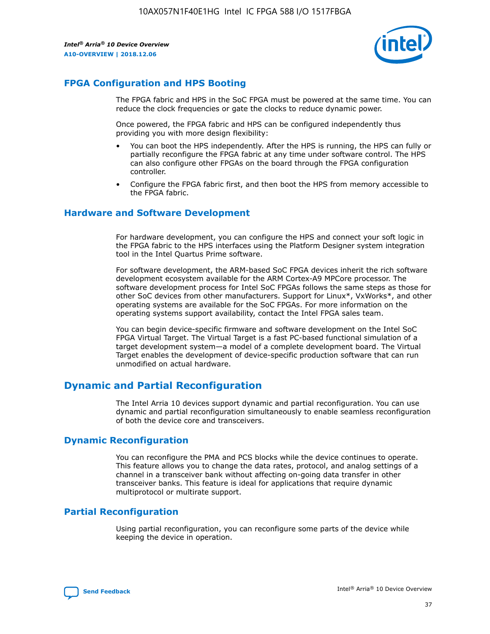

# **FPGA Configuration and HPS Booting**

The FPGA fabric and HPS in the SoC FPGA must be powered at the same time. You can reduce the clock frequencies or gate the clocks to reduce dynamic power.

Once powered, the FPGA fabric and HPS can be configured independently thus providing you with more design flexibility:

- You can boot the HPS independently. After the HPS is running, the HPS can fully or partially reconfigure the FPGA fabric at any time under software control. The HPS can also configure other FPGAs on the board through the FPGA configuration controller.
- Configure the FPGA fabric first, and then boot the HPS from memory accessible to the FPGA fabric.

## **Hardware and Software Development**

For hardware development, you can configure the HPS and connect your soft logic in the FPGA fabric to the HPS interfaces using the Platform Designer system integration tool in the Intel Quartus Prime software.

For software development, the ARM-based SoC FPGA devices inherit the rich software development ecosystem available for the ARM Cortex-A9 MPCore processor. The software development process for Intel SoC FPGAs follows the same steps as those for other SoC devices from other manufacturers. Support for Linux\*, VxWorks\*, and other operating systems are available for the SoC FPGAs. For more information on the operating systems support availability, contact the Intel FPGA sales team.

You can begin device-specific firmware and software development on the Intel SoC FPGA Virtual Target. The Virtual Target is a fast PC-based functional simulation of a target development system—a model of a complete development board. The Virtual Target enables the development of device-specific production software that can run unmodified on actual hardware.

# **Dynamic and Partial Reconfiguration**

The Intel Arria 10 devices support dynamic and partial reconfiguration. You can use dynamic and partial reconfiguration simultaneously to enable seamless reconfiguration of both the device core and transceivers.

# **Dynamic Reconfiguration**

You can reconfigure the PMA and PCS blocks while the device continues to operate. This feature allows you to change the data rates, protocol, and analog settings of a channel in a transceiver bank without affecting on-going data transfer in other transceiver banks. This feature is ideal for applications that require dynamic multiprotocol or multirate support.

# **Partial Reconfiguration**

Using partial reconfiguration, you can reconfigure some parts of the device while keeping the device in operation.

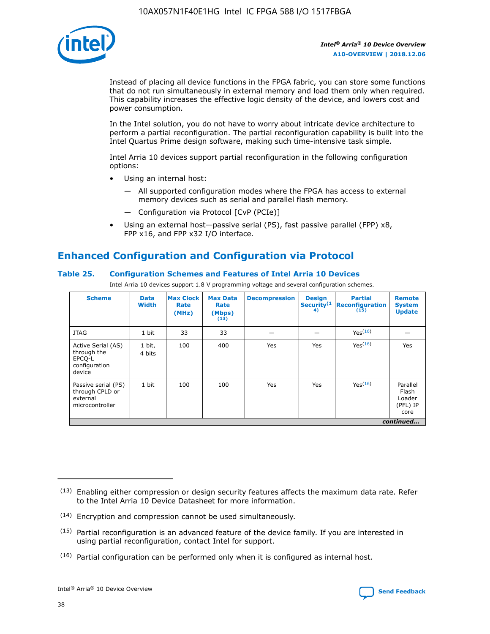

Instead of placing all device functions in the FPGA fabric, you can store some functions that do not run simultaneously in external memory and load them only when required. This capability increases the effective logic density of the device, and lowers cost and power consumption.

In the Intel solution, you do not have to worry about intricate device architecture to perform a partial reconfiguration. The partial reconfiguration capability is built into the Intel Quartus Prime design software, making such time-intensive task simple.

Intel Arria 10 devices support partial reconfiguration in the following configuration options:

- Using an internal host:
	- All supported configuration modes where the FPGA has access to external memory devices such as serial and parallel flash memory.
	- Configuration via Protocol [CvP (PCIe)]
- Using an external host—passive serial (PS), fast passive parallel (FPP) x8, FPP x16, and FPP x32 I/O interface.

# **Enhanced Configuration and Configuration via Protocol**

## **Table 25. Configuration Schemes and Features of Intel Arria 10 Devices**

Intel Arria 10 devices support 1.8 V programming voltage and several configuration schemes.

| <b>Scheme</b>                                                          | <b>Data</b><br><b>Width</b> | <b>Max Clock</b><br>Rate<br>(MHz) | <b>Max Data</b><br>Rate<br>(Mbps)<br>(13) | <b>Decompression</b> | <b>Design</b><br>Security <sup>(1</sup><br>4) | <b>Partial</b><br>Reconfiguration<br>(15) | <b>Remote</b><br><b>System</b><br><b>Update</b> |
|------------------------------------------------------------------------|-----------------------------|-----------------------------------|-------------------------------------------|----------------------|-----------------------------------------------|-------------------------------------------|-------------------------------------------------|
| <b>JTAG</b>                                                            | 1 bit                       | 33                                | 33                                        |                      |                                               | Yes <sup>(16)</sup>                       |                                                 |
| Active Serial (AS)<br>through the<br>EPCO-L<br>configuration<br>device | 1 bit,<br>4 bits            | 100                               | 400                                       | Yes                  | Yes                                           | $Y_{PS}(16)$                              | Yes                                             |
| Passive serial (PS)<br>through CPLD or<br>external<br>microcontroller  | 1 bit                       | 100                               | 100                                       | Yes                  | Yes                                           | Yes(16)                                   | Parallel<br>Flash<br>Loader<br>(PFL) IP<br>core |
|                                                                        |                             |                                   |                                           |                      |                                               |                                           | continued                                       |

<sup>(13)</sup> Enabling either compression or design security features affects the maximum data rate. Refer to the Intel Arria 10 Device Datasheet for more information.

<sup>(14)</sup> Encryption and compression cannot be used simultaneously.

 $(15)$  Partial reconfiguration is an advanced feature of the device family. If you are interested in using partial reconfiguration, contact Intel for support.

 $(16)$  Partial configuration can be performed only when it is configured as internal host.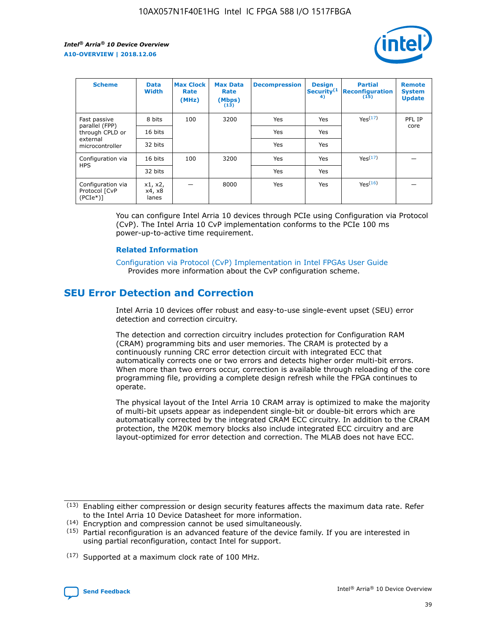

| <b>Scheme</b>                                   | <b>Data</b><br><b>Width</b> | <b>Max Clock</b><br>Rate<br>(MHz) | <b>Max Data</b><br>Rate<br>(Mbps)<br>(13) | <b>Decompression</b> | <b>Design</b><br>Security <sup>(1</sup><br>4) | <b>Partial</b><br><b>Reconfiguration</b><br>(15) | <b>Remote</b><br><b>System</b><br><b>Update</b> |
|-------------------------------------------------|-----------------------------|-----------------------------------|-------------------------------------------|----------------------|-----------------------------------------------|--------------------------------------------------|-------------------------------------------------|
| Fast passive                                    | 8 bits                      | 100                               | 3200                                      | Yes                  | Yes                                           | Yes(17)                                          | PFL IP                                          |
| parallel (FPP)<br>through CPLD or               | 16 bits                     |                                   |                                           | Yes                  | Yes                                           |                                                  | core                                            |
| external<br>microcontroller                     | 32 bits                     |                                   |                                           | Yes                  | Yes                                           |                                                  |                                                 |
| Configuration via                               | 16 bits                     | 100                               | 3200                                      | Yes                  | Yes                                           | Yes <sup>(17)</sup>                              |                                                 |
| <b>HPS</b>                                      | 32 bits                     |                                   |                                           | Yes                  | Yes                                           |                                                  |                                                 |
| Configuration via<br>Protocol [CvP<br>$(PCIe*)$ | x1, x2,<br>x4, x8<br>lanes  |                                   | 8000                                      | Yes                  | Yes                                           | Yes <sup>(16)</sup>                              |                                                 |

You can configure Intel Arria 10 devices through PCIe using Configuration via Protocol (CvP). The Intel Arria 10 CvP implementation conforms to the PCIe 100 ms power-up-to-active time requirement.

#### **Related Information**

[Configuration via Protocol \(CvP\) Implementation in Intel FPGAs User Guide](https://www.intel.com/content/www/us/en/programmable/documentation/dsu1441819344145.html#dsu1442269728522) Provides more information about the CvP configuration scheme.

# **SEU Error Detection and Correction**

Intel Arria 10 devices offer robust and easy-to-use single-event upset (SEU) error detection and correction circuitry.

The detection and correction circuitry includes protection for Configuration RAM (CRAM) programming bits and user memories. The CRAM is protected by a continuously running CRC error detection circuit with integrated ECC that automatically corrects one or two errors and detects higher order multi-bit errors. When more than two errors occur, correction is available through reloading of the core programming file, providing a complete design refresh while the FPGA continues to operate.

The physical layout of the Intel Arria 10 CRAM array is optimized to make the majority of multi-bit upsets appear as independent single-bit or double-bit errors which are automatically corrected by the integrated CRAM ECC circuitry. In addition to the CRAM protection, the M20K memory blocks also include integrated ECC circuitry and are layout-optimized for error detection and correction. The MLAB does not have ECC.

(14) Encryption and compression cannot be used simultaneously.

<sup>(17)</sup> Supported at a maximum clock rate of 100 MHz.



 $(13)$  Enabling either compression or design security features affects the maximum data rate. Refer to the Intel Arria 10 Device Datasheet for more information.

 $(15)$  Partial reconfiguration is an advanced feature of the device family. If you are interested in using partial reconfiguration, contact Intel for support.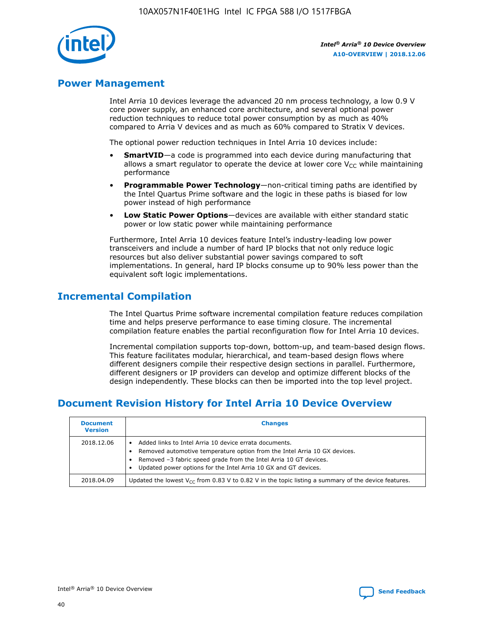

# **Power Management**

Intel Arria 10 devices leverage the advanced 20 nm process technology, a low 0.9 V core power supply, an enhanced core architecture, and several optional power reduction techniques to reduce total power consumption by as much as 40% compared to Arria V devices and as much as 60% compared to Stratix V devices.

The optional power reduction techniques in Intel Arria 10 devices include:

- **SmartVID**—a code is programmed into each device during manufacturing that allows a smart regulator to operate the device at lower core  $V_{CC}$  while maintaining performance
- **Programmable Power Technology**—non-critical timing paths are identified by the Intel Quartus Prime software and the logic in these paths is biased for low power instead of high performance
- **Low Static Power Options**—devices are available with either standard static power or low static power while maintaining performance

Furthermore, Intel Arria 10 devices feature Intel's industry-leading low power transceivers and include a number of hard IP blocks that not only reduce logic resources but also deliver substantial power savings compared to soft implementations. In general, hard IP blocks consume up to 90% less power than the equivalent soft logic implementations.

# **Incremental Compilation**

The Intel Quartus Prime software incremental compilation feature reduces compilation time and helps preserve performance to ease timing closure. The incremental compilation feature enables the partial reconfiguration flow for Intel Arria 10 devices.

Incremental compilation supports top-down, bottom-up, and team-based design flows. This feature facilitates modular, hierarchical, and team-based design flows where different designers compile their respective design sections in parallel. Furthermore, different designers or IP providers can develop and optimize different blocks of the design independently. These blocks can then be imported into the top level project.

# **Document Revision History for Intel Arria 10 Device Overview**

| <b>Document</b><br><b>Version</b> | <b>Changes</b>                                                                                                                                                                                                                                                              |
|-----------------------------------|-----------------------------------------------------------------------------------------------------------------------------------------------------------------------------------------------------------------------------------------------------------------------------|
| 2018.12.06                        | Added links to Intel Arria 10 device errata documents.<br>Removed automotive temperature option from the Intel Arria 10 GX devices.<br>Removed -3 fabric speed grade from the Intel Arria 10 GT devices.<br>Updated power options for the Intel Arria 10 GX and GT devices. |
| 2018.04.09                        | Updated the lowest $V_{CC}$ from 0.83 V to 0.82 V in the topic listing a summary of the device features.                                                                                                                                                                    |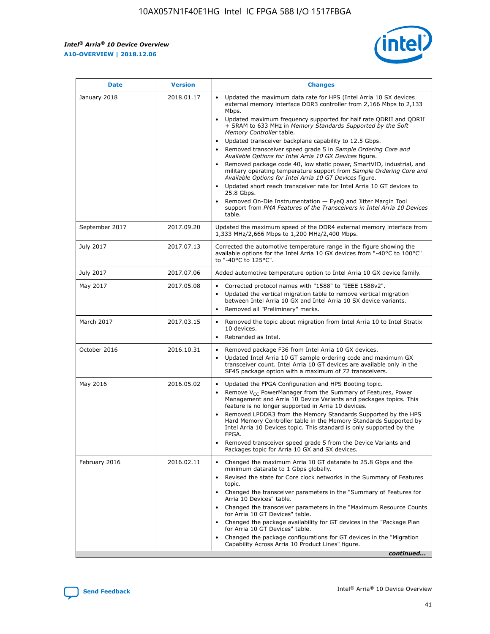*Intel® Arria® 10 Device Overview* **A10-OVERVIEW | 2018.12.06**



| <b>Date</b>    | <b>Version</b> | <b>Changes</b>                                                                                                                                                                                                                                                                                                                                                                                                                                                                                                                                                                                                                                                                                                                                                                                                                                                                                                                                                            |
|----------------|----------------|---------------------------------------------------------------------------------------------------------------------------------------------------------------------------------------------------------------------------------------------------------------------------------------------------------------------------------------------------------------------------------------------------------------------------------------------------------------------------------------------------------------------------------------------------------------------------------------------------------------------------------------------------------------------------------------------------------------------------------------------------------------------------------------------------------------------------------------------------------------------------------------------------------------------------------------------------------------------------|
| January 2018   | 2018.01.17     | Updated the maximum data rate for HPS (Intel Arria 10 SX devices<br>external memory interface DDR3 controller from 2,166 Mbps to 2,133<br>Mbps.<br>Updated maximum frequency supported for half rate QDRII and QDRII<br>+ SRAM to 633 MHz in Memory Standards Supported by the Soft<br>Memory Controller table.<br>Updated transceiver backplane capability to 12.5 Gbps.<br>$\bullet$<br>Removed transceiver speed grade 5 in Sample Ordering Core and<br>Available Options for Intel Arria 10 GX Devices figure.<br>Removed package code 40, low static power, SmartVID, industrial, and<br>military operating temperature support from Sample Ordering Core and<br>Available Options for Intel Arria 10 GT Devices figure.<br>Updated short reach transceiver rate for Intel Arria 10 GT devices to<br>25.8 Gbps.<br>Removed On-Die Instrumentation - EyeQ and Jitter Margin Tool<br>support from PMA Features of the Transceivers in Intel Arria 10 Devices<br>table. |
| September 2017 | 2017.09.20     | Updated the maximum speed of the DDR4 external memory interface from<br>1,333 MHz/2,666 Mbps to 1,200 MHz/2,400 Mbps.                                                                                                                                                                                                                                                                                                                                                                                                                                                                                                                                                                                                                                                                                                                                                                                                                                                     |
| July 2017      | 2017.07.13     | Corrected the automotive temperature range in the figure showing the<br>available options for the Intel Arria 10 GX devices from "-40°C to 100°C"<br>to "-40°C to 125°C".                                                                                                                                                                                                                                                                                                                                                                                                                                                                                                                                                                                                                                                                                                                                                                                                 |
| July 2017      | 2017.07.06     | Added automotive temperature option to Intel Arria 10 GX device family.                                                                                                                                                                                                                                                                                                                                                                                                                                                                                                                                                                                                                                                                                                                                                                                                                                                                                                   |
| May 2017       | 2017.05.08     | Corrected protocol names with "1588" to "IEEE 1588v2".<br>Updated the vertical migration table to remove vertical migration<br>between Intel Arria 10 GX and Intel Arria 10 SX device variants.<br>Removed all "Preliminary" marks.                                                                                                                                                                                                                                                                                                                                                                                                                                                                                                                                                                                                                                                                                                                                       |
| March 2017     | 2017.03.15     | Removed the topic about migration from Intel Arria 10 to Intel Stratix<br>10 devices.<br>Rebranded as Intel.<br>$\bullet$                                                                                                                                                                                                                                                                                                                                                                                                                                                                                                                                                                                                                                                                                                                                                                                                                                                 |
| October 2016   | 2016.10.31     | Removed package F36 from Intel Arria 10 GX devices.<br>Updated Intel Arria 10 GT sample ordering code and maximum GX<br>$\bullet$<br>transceiver count. Intel Arria 10 GT devices are available only in the<br>SF45 package option with a maximum of 72 transceivers.                                                                                                                                                                                                                                                                                                                                                                                                                                                                                                                                                                                                                                                                                                     |
| May 2016       | 2016.05.02     | Updated the FPGA Configuration and HPS Booting topic.<br>Remove V <sub>CC</sub> PowerManager from the Summary of Features, Power<br>Management and Arria 10 Device Variants and packages topics. This<br>feature is no longer supported in Arria 10 devices.<br>Removed LPDDR3 from the Memory Standards Supported by the HPS<br>Hard Memory Controller table in the Memory Standards Supported by<br>Intel Arria 10 Devices topic. This standard is only supported by the<br>FPGA.<br>Removed transceiver speed grade 5 from the Device Variants and<br>Packages topic for Arria 10 GX and SX devices.                                                                                                                                                                                                                                                                                                                                                                   |
| February 2016  | 2016.02.11     | Changed the maximum Arria 10 GT datarate to 25.8 Gbps and the<br>minimum datarate to 1 Gbps globally.<br>Revised the state for Core clock networks in the Summary of Features<br>$\bullet$<br>topic.<br>Changed the transceiver parameters in the "Summary of Features for<br>Arria 10 Devices" table.<br>• Changed the transceiver parameters in the "Maximum Resource Counts<br>for Arria 10 GT Devices" table.<br>• Changed the package availability for GT devices in the "Package Plan<br>for Arria 10 GT Devices" table.<br>Changed the package configurations for GT devices in the "Migration"<br>Capability Across Arria 10 Product Lines" figure.<br>continued                                                                                                                                                                                                                                                                                                  |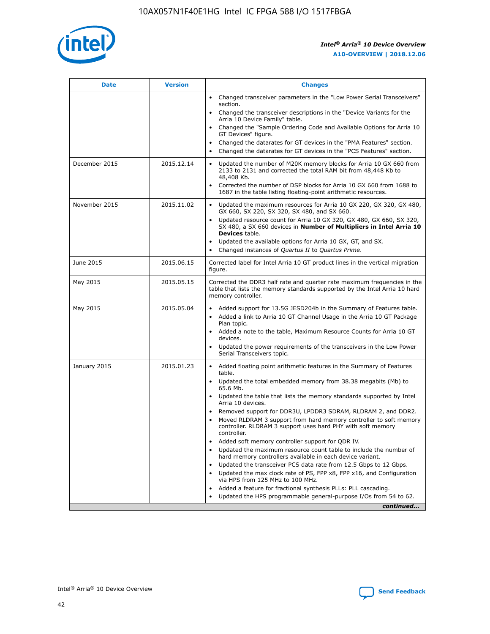

| <b>Date</b>   | <b>Version</b> | <b>Changes</b>                                                                                                                                                                   |
|---------------|----------------|----------------------------------------------------------------------------------------------------------------------------------------------------------------------------------|
|               |                | • Changed transceiver parameters in the "Low Power Serial Transceivers"<br>section.                                                                                              |
|               |                | • Changed the transceiver descriptions in the "Device Variants for the<br>Arria 10 Device Family" table.                                                                         |
|               |                | Changed the "Sample Ordering Code and Available Options for Arria 10<br>GT Devices" figure.                                                                                      |
|               |                | Changed the datarates for GT devices in the "PMA Features" section.                                                                                                              |
|               |                | Changed the datarates for GT devices in the "PCS Features" section.<br>$\bullet$                                                                                                 |
| December 2015 | 2015.12.14     | Updated the number of M20K memory blocks for Arria 10 GX 660 from<br>$\bullet$<br>2133 to 2131 and corrected the total RAM bit from 48,448 Kb to<br>48,408 Kb.                   |
|               |                | Corrected the number of DSP blocks for Arria 10 GX 660 from 1688 to<br>$\bullet$<br>1687 in the table listing floating-point arithmetic resources.                               |
| November 2015 | 2015.11.02     | Updated the maximum resources for Arria 10 GX 220, GX 320, GX 480,<br>$\bullet$<br>GX 660, SX 220, SX 320, SX 480, and SX 660.                                                   |
|               |                | Updated resource count for Arria 10 GX 320, GX 480, GX 660, SX 320,<br>$\bullet$<br>SX 480, a SX 660 devices in Number of Multipliers in Intel Arria 10<br><b>Devices</b> table. |
|               |                | Updated the available options for Arria 10 GX, GT, and SX.<br>$\bullet$                                                                                                          |
|               |                | Changed instances of Quartus II to Quartus Prime.<br>$\bullet$                                                                                                                   |
| June 2015     | 2015.06.15     | Corrected label for Intel Arria 10 GT product lines in the vertical migration<br>figure.                                                                                         |
| May 2015      | 2015.05.15     | Corrected the DDR3 half rate and quarter rate maximum frequencies in the<br>table that lists the memory standards supported by the Intel Arria 10 hard<br>memory controller.     |
| May 2015      | 2015.05.04     | • Added support for 13.5G JESD204b in the Summary of Features table.<br>• Added a link to Arria 10 GT Channel Usage in the Arria 10 GT Package<br>Plan topic.                    |
|               |                | • Added a note to the table, Maximum Resource Counts for Arria 10 GT<br>devices.                                                                                                 |
|               |                | Updated the power requirements of the transceivers in the Low Power<br>Serial Transceivers topic.                                                                                |
| January 2015  | 2015.01.23     | • Added floating point arithmetic features in the Summary of Features<br>table.                                                                                                  |
|               |                | • Updated the total embedded memory from 38.38 megabits (Mb) to<br>65.6 Mb.                                                                                                      |
|               |                | • Updated the table that lists the memory standards supported by Intel<br>Arria 10 devices.                                                                                      |
|               |                | Removed support for DDR3U, LPDDR3 SDRAM, RLDRAM 2, and DDR2.                                                                                                                     |
|               |                | Moved RLDRAM 3 support from hard memory controller to soft memory<br>controller. RLDRAM 3 support uses hard PHY with soft memory<br>controller.                                  |
|               |                | Added soft memory controller support for QDR IV.                                                                                                                                 |
|               |                | Updated the maximum resource count table to include the number of<br>hard memory controllers available in each device variant.                                                   |
|               |                | Updated the transceiver PCS data rate from 12.5 Gbps to 12 Gbps.<br>$\bullet$                                                                                                    |
|               |                | Updated the max clock rate of PS, FPP x8, FPP x16, and Configuration<br>via HPS from 125 MHz to 100 MHz.                                                                         |
|               |                | Added a feature for fractional synthesis PLLs: PLL cascading.                                                                                                                    |
|               |                | Updated the HPS programmable general-purpose I/Os from 54 to 62.                                                                                                                 |
|               |                | continued                                                                                                                                                                        |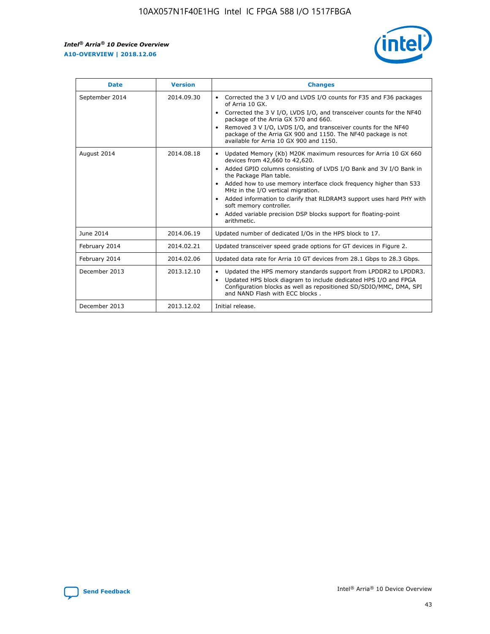r



| <b>Date</b>    | <b>Version</b> | <b>Changes</b>                                                                                                                                                                                                                                                                                                                                                                                                                                                                                                                                      |
|----------------|----------------|-----------------------------------------------------------------------------------------------------------------------------------------------------------------------------------------------------------------------------------------------------------------------------------------------------------------------------------------------------------------------------------------------------------------------------------------------------------------------------------------------------------------------------------------------------|
| September 2014 | 2014.09.30     | Corrected the 3 V I/O and LVDS I/O counts for F35 and F36 packages<br>$\bullet$<br>of Arria 10 GX.<br>Corrected the 3 V I/O, LVDS I/O, and transceiver counts for the NF40<br>$\bullet$<br>package of the Arria GX 570 and 660.<br>Removed 3 V I/O, LVDS I/O, and transceiver counts for the NF40<br>package of the Arria GX 900 and 1150. The NF40 package is not<br>available for Arria 10 GX 900 and 1150.                                                                                                                                       |
| August 2014    | 2014.08.18     | Updated Memory (Kb) M20K maximum resources for Arria 10 GX 660<br>devices from 42,660 to 42,620.<br>Added GPIO columns consisting of LVDS I/O Bank and 3V I/O Bank in<br>$\bullet$<br>the Package Plan table.<br>Added how to use memory interface clock frequency higher than 533<br>$\bullet$<br>MHz in the I/O vertical migration.<br>Added information to clarify that RLDRAM3 support uses hard PHY with<br>$\bullet$<br>soft memory controller.<br>Added variable precision DSP blocks support for floating-point<br>$\bullet$<br>arithmetic. |
| June 2014      | 2014.06.19     | Updated number of dedicated I/Os in the HPS block to 17.                                                                                                                                                                                                                                                                                                                                                                                                                                                                                            |
| February 2014  | 2014.02.21     | Updated transceiver speed grade options for GT devices in Figure 2.                                                                                                                                                                                                                                                                                                                                                                                                                                                                                 |
| February 2014  | 2014.02.06     | Updated data rate for Arria 10 GT devices from 28.1 Gbps to 28.3 Gbps.                                                                                                                                                                                                                                                                                                                                                                                                                                                                              |
| December 2013  | 2013.12.10     | Updated the HPS memory standards support from LPDDR2 to LPDDR3.<br>Updated HPS block diagram to include dedicated HPS I/O and FPGA<br>$\bullet$<br>Configuration blocks as well as repositioned SD/SDIO/MMC, DMA, SPI<br>and NAND Flash with ECC blocks.                                                                                                                                                                                                                                                                                            |
| December 2013  | 2013.12.02     | Initial release.                                                                                                                                                                                                                                                                                                                                                                                                                                                                                                                                    |